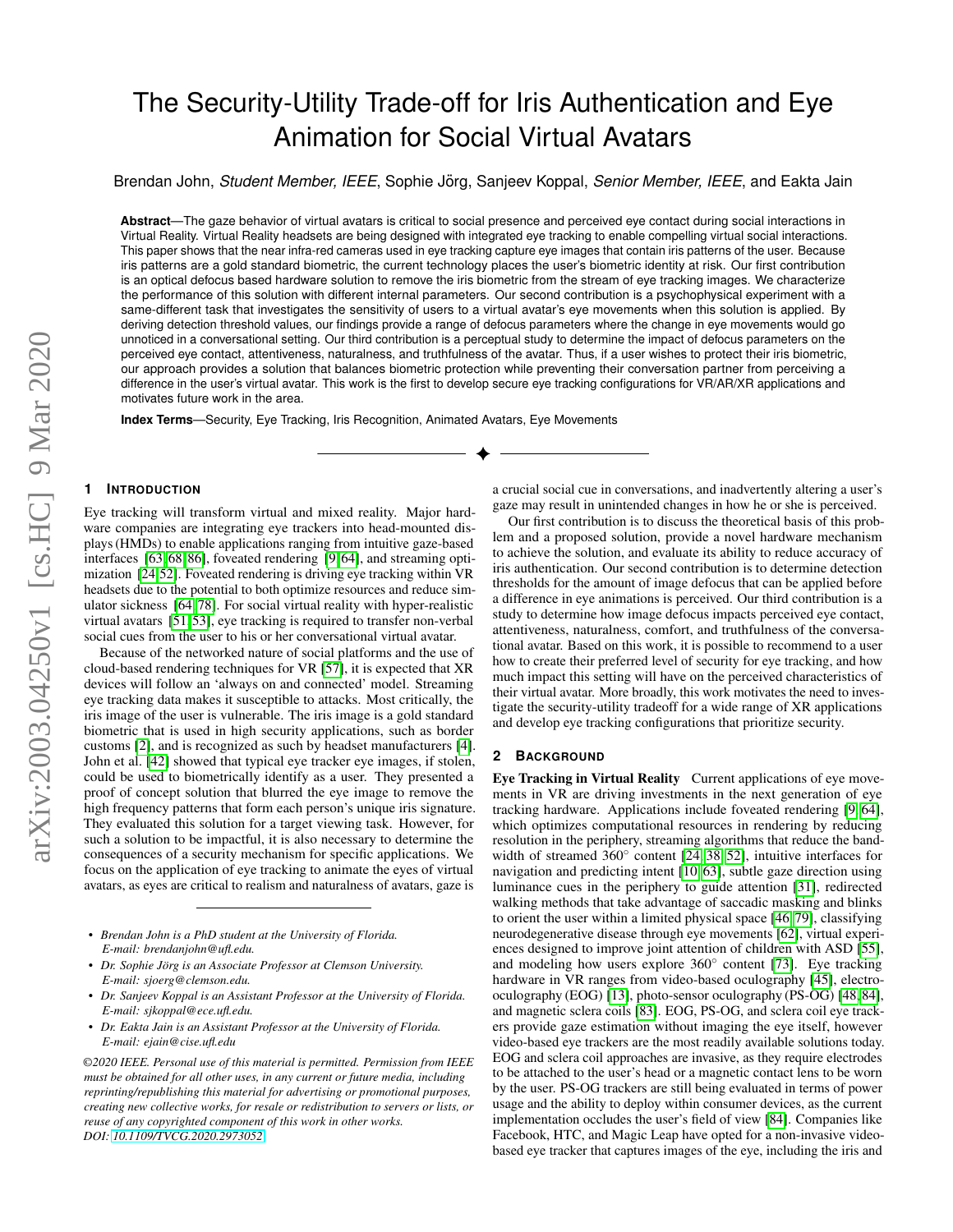# The Security-Utility Trade-off for Iris Authentication and Eye Animation for Social Virtual Avatars

Brendan John, *Student Member, IEEE*, Sophie Jörg, Sanjeev Koppal, *Senior Member, IEEE*, and Eakta Jain

**Abstract**—The gaze behavior of virtual avatars is critical to social presence and perceived eye contact during social interactions in Virtual Reality. Virtual Reality headsets are being designed with integrated eye tracking to enable compelling virtual social interactions. This paper shows that the near infra-red cameras used in eye tracking capture eye images that contain iris patterns of the user. Because iris patterns are a gold standard biometric, the current technology places the user's biometric identity at risk. Our first contribution is an optical defocus based hardware solution to remove the iris biometric from the stream of eye tracking images. We characterize the performance of this solution with different internal parameters. Our second contribution is a psychophysical experiment with a same-different task that investigates the sensitivity of users to a virtual avatar's eye movements when this solution is applied. By deriving detection threshold values, our findings provide a range of defocus parameters where the change in eye movements would go unnoticed in a conversational setting. Our third contribution is a perceptual study to determine the impact of defocus parameters on the perceived eye contact, attentiveness, naturalness, and truthfulness of the avatar. Thus, if a user wishes to protect their iris biometric, our approach provides a solution that balances biometric protection while preventing their conversation partner from perceiving a difference in the user's virtual avatar. This work is the first to develop secure eye tracking configurations for VR/AR/XR applications and motivates future work in the area.

**Index Terms**—Security, Eye Tracking, Iris Recognition, Animated Avatars, Eye Movements

# **1 INTRODUCTION**

Eye tracking will transform virtual and mixed reality. Major hardware companies are integrating eye trackers into head-mounted displays (HMDs) to enable applications ranging from intuitive gaze-based interfaces [\[63,](#page-10-0) [68,](#page-10-1) [86\]](#page-10-2), foveated rendering [\[9,](#page-9-0) [64\]](#page-10-3), and streaming optimization [\[24,](#page-9-1)[52\]](#page-10-4). Foveated rendering is driving eye tracking within VR headsets due to the potential to both optimize resources and reduce simulator sickness [\[64,](#page-10-3) [78\]](#page-10-5). For social virtual reality with hyper-realistic virtual avatars [\[51,](#page-10-6) [53\]](#page-10-7), eye tracking is required to transfer non-verbal social cues from the user to his or her conversational virtual avatar.

Because of the networked nature of social platforms and the use of cloud-based rendering techniques for VR [\[57\]](#page-10-8), it is expected that XR devices will follow an 'always on and connected' model. Streaming eye tracking data makes it susceptible to attacks. Most critically, the iris image of the user is vulnerable. The iris image is a gold standard biometric that is used in high security applications, such as border customs [\[2\]](#page-9-2), and is recognized as such by headset manufacturers [\[4\]](#page-9-3). John et al. [\[42\]](#page-9-4) showed that typical eye tracker eye images, if stolen, could be used to biometrically identify as a user. They presented a proof of concept solution that blurred the eye image to remove the high frequency patterns that form each person's unique iris signature. They evaluated this solution for a target viewing task. However, for such a solution to be impactful, it is also necessary to determine the consequences of a security mechanism for specific applications. We focus on the application of eye tracking to animate the eyes of virtual avatars, as eyes are critical to realism and naturalness of avatars, gaze is

- *• Brendan John is a PhD student at the University of Florida. E-mail: brendanjohn@ufl.edu.*
- *• Dr. Sophie Jorg is an Associate Professor at Clemson University. ¨ E-mail: sjoerg@clemson.edu.*
- *• Dr. Sanjeev Koppal is an Assistant Professor at the University of Florida. E-mail: sjkoppal@ece.ufl.edu.*
- *• Dr. Eakta Jain is an Assistant Professor at the University of Florida. E-mail: ejain@cise.ufl.edu*

*©2020 IEEE. Personal use of this material is permitted. Permission from IEEE must be obtained for all other uses, in any current or future media, including reprinting/republishing this material for advertising or promotional purposes, creating new collective works, for resale or redistribution to servers or lists, or reuse of any copyrighted component of this work in other works. DOI: [10.1109/TVCG.2020.2973052](https://ieeexplore.ieee.org/abstract/document/8998133)*

a crucial social cue in conversations, and inadvertently altering a user's gaze may result in unintended changes in how he or she is perceived.

Our first contribution is to discuss the theoretical basis of this problem and a proposed solution, provide a novel hardware mechanism to achieve the solution, and evaluate its ability to reduce accuracy of iris authentication. Our second contribution is to determine detection thresholds for the amount of image defocus that can be applied before a difference in eye animations is perceived. Our third contribution is a study to determine how image defocus impacts perceived eye contact, attentiveness, naturalness, comfort, and truthfulness of the conversational avatar. Based on this work, it is possible to recommend to a user how to create their preferred level of security for eye tracking, and how much impact this setting will have on the perceived characteristics of their virtual avatar. More broadly, this work motivates the need to investigate the security-utility tradeoff for a wide range of XR applications and develop eye tracking configurations that prioritize security.

## **2 BACKGROUND**

Eye Tracking in Virtual Reality Current applications of eye movements in VR are driving investments in the next generation of eye tracking hardware. Applications include foveated rendering [\[9,](#page-9-0) [64\]](#page-10-3), which optimizes computational resources in rendering by reducing resolution in the periphery, streaming algorithms that reduce the bandwidth of streamed  $360^\circ$  content [\[24,](#page-9-1) [38,](#page-9-5) [52\]](#page-10-4), intuitive interfaces for navigation and predicting intent [\[10,](#page-9-6) [63\]](#page-10-0), subtle gaze direction using luminance cues in the periphery to guide attention [\[31\]](#page-9-7), redirected walking methods that take advantage of saccadic masking and blinks to orient the user within a limited physical space [\[46,](#page-10-9) [79\]](#page-10-10), classifying neurodegenerative disease through eye movements [\[62\]](#page-10-11), virtual experiences designed to improve joint attention of children with ASD [\[55\]](#page-10-12), and modeling how users explore 360◦ content [\[73\]](#page-10-13). Eye tracking hardware in VR ranges from video-based oculography [\[45\]](#page-9-8), electrooculography (EOG) [\[13\]](#page-9-9), photo-sensor oculography (PS-OG) [\[48,](#page-10-14) [84\]](#page-10-15), and magnetic sclera coils [\[83\]](#page-10-16). EOG, PS-OG, and sclera coil eye trackers provide gaze estimation without imaging the eye itself, however video-based eye trackers are the most readily available solutions today. EOG and sclera coil approaches are invasive, as they require electrodes to be attached to the user's head or a magnetic contact lens to be worn by the user. PS-OG trackers are still being evaluated in terms of power usage and the ability to deploy within consumer devices, as the current implementation occludes the user's field of view [\[84\]](#page-10-15). Companies like Facebook, HTC, and Magic Leap have opted for a non-invasive videobased eye tracker that captures images of the eye, including the iris and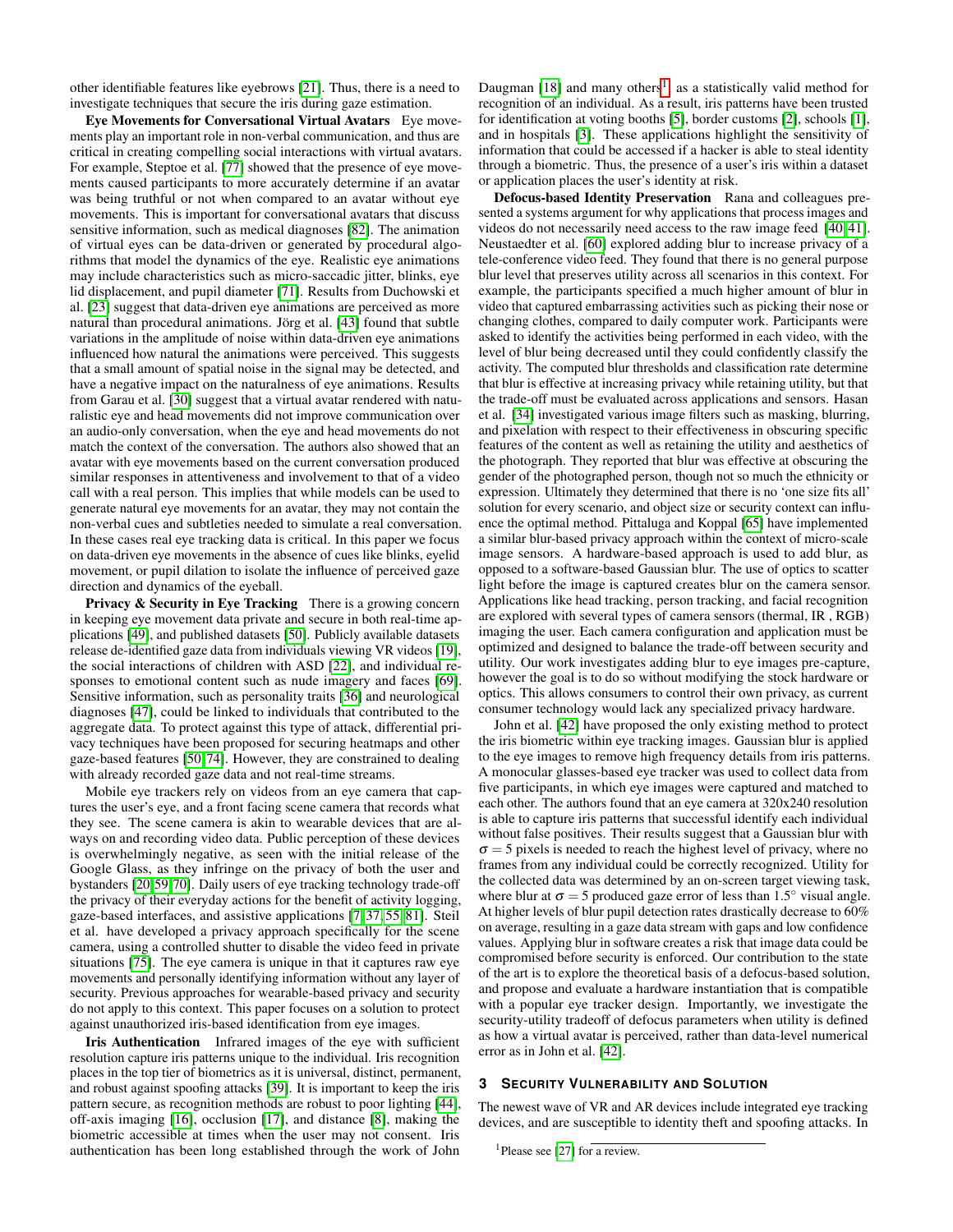other identifiable features like eyebrows [\[21\]](#page-9-10). Thus, there is a need to investigate techniques that secure the iris during gaze estimation.

Eye Movements for Conversational Virtual Avatars Eye movements play an important role in non-verbal communication, and thus are critical in creating compelling social interactions with virtual avatars. For example, Steptoe et al. [\[77\]](#page-10-17) showed that the presence of eye movements caused participants to more accurately determine if an avatar was being truthful or not when compared to an avatar without eye movements. This is important for conversational avatars that discuss sensitive information, such as medical diagnoses [\[82\]](#page-10-18). The animation of virtual eyes can be data-driven or generated by procedural algorithms that model the dynamics of the eye. Realistic eye animations may include characteristics such as micro-saccadic jitter, blinks, eye lid displacement, and pupil diameter [\[71\]](#page-10-19). Results from Duchowski et al. [\[23\]](#page-9-11) suggest that data-driven eye animations are perceived as more natural than procedural animations. Jörg et al. [\[43\]](#page-9-12) found that subtle variations in the amplitude of noise within data-driven eye animations influenced how natural the animations were perceived. This suggests that a small amount of spatial noise in the signal may be detected, and have a negative impact on the naturalness of eye animations. Results from Garau et al. [\[30\]](#page-9-13) suggest that a virtual avatar rendered with naturalistic eye and head movements did not improve communication over an audio-only conversation, when the eye and head movements do not match the context of the conversation. The authors also showed that an avatar with eye movements based on the current conversation produced similar responses in attentiveness and involvement to that of a video call with a real person. This implies that while models can be used to generate natural eye movements for an avatar, they may not contain the non-verbal cues and subtleties needed to simulate a real conversation. In these cases real eye tracking data is critical. In this paper we focus on data-driven eye movements in the absence of cues like blinks, eyelid movement, or pupil dilation to isolate the influence of perceived gaze direction and dynamics of the eyeball.

**Privacy & Security in Eye Tracking** There is a growing concern in keeping eye movement data private and secure in both real-time applications [\[49\]](#page-10-20), and published datasets [\[50\]](#page-10-21). Publicly available datasets release de-identified gaze data from individuals viewing VR videos [\[19\]](#page-9-14), the social interactions of children with ASD [\[22\]](#page-9-15), and individual responses to emotional content such as nude imagery and faces [\[69\]](#page-10-22). Sensitive information, such as personality traits [\[36\]](#page-9-16) and neurological diagnoses [\[47\]](#page-10-23), could be linked to individuals that contributed to the aggregate data. To protect against this type of attack, differential privacy techniques have been proposed for securing heatmaps and other gaze-based features [\[50,](#page-10-21) [74\]](#page-10-24). However, they are constrained to dealing with already recorded gaze data and not real-time streams.

Mobile eye trackers rely on videos from an eye camera that captures the user's eye, and a front facing scene camera that records what they see. The scene camera is akin to wearable devices that are always on and recording video data. Public perception of these devices is overwhelmingly negative, as seen with the initial release of the Google Glass, as they infringe on the privacy of both the user and bystanders [\[20,](#page-9-17)[59,](#page-10-25)[70\]](#page-10-26). Daily users of eye tracking technology trade-off the privacy of their everyday actions for the benefit of activity logging, gaze-based interfaces, and assistive applications [\[7,](#page-9-18) [37,](#page-9-19) [55,](#page-10-12) [81\]](#page-10-27). Steil et al. have developed a privacy approach specifically for the scene camera, using a controlled shutter to disable the video feed in private situations [\[75\]](#page-10-28). The eye camera is unique in that it captures raw eye movements and personally identifying information without any layer of security. Previous approaches for wearable-based privacy and security do not apply to this context. This paper focuses on a solution to protect against unauthorized iris-based identification from eye images.

Iris Authentication Infrared images of the eye with sufficient resolution capture iris patterns unique to the individual. Iris recognition places in the top tier of biometrics as it is universal, distinct, permanent, and robust against spoofing attacks [\[39\]](#page-9-20). It is important to keep the iris pattern secure, as recognition methods are robust to poor lighting [\[44\]](#page-9-21), off-axis imaging [\[16\]](#page-9-22), occlusion [\[17\]](#page-9-23), and distance [\[8\]](#page-9-24), making the biometric accessible at times when the user may not consent. Iris authentication has been long established through the work of John

Daugman [\[18\]](#page-9-25) and many others<sup>[1](#page-1-0)</sup>, as a statistically valid method for recognition of an individual. As a result, iris patterns have been trusted for identification at voting booths [\[5\]](#page-9-26), border customs [\[2\]](#page-9-2), schools [\[1\]](#page-9-27), and in hospitals [\[3\]](#page-9-28). These applications highlight the sensitivity of information that could be accessed if a hacker is able to steal identity through a biometric. Thus, the presence of a user's iris within a dataset or application places the user's identity at risk.

Defocus-based Identity Preservation Rana and colleagues presented a systems argument for why applications that process images and videos do not necessarily need access to the raw image feed [\[40,](#page-9-29) [41\]](#page-9-30). Neustaedter et al. [\[60\]](#page-10-29) explored adding blur to increase privacy of a tele-conference video feed. They found that there is no general purpose blur level that preserves utility across all scenarios in this context. For example, the participants specified a much higher amount of blur in video that captured embarrassing activities such as picking their nose or changing clothes, compared to daily computer work. Participants were asked to identify the activities being performed in each video, with the level of blur being decreased until they could confidently classify the activity. The computed blur thresholds and classification rate determine that blur is effective at increasing privacy while retaining utility, but that the trade-off must be evaluated across applications and sensors. Hasan et al. [\[34\]](#page-9-31) investigated various image filters such as masking, blurring, and pixelation with respect to their effectiveness in obscuring specific features of the content as well as retaining the utility and aesthetics of the photograph. They reported that blur was effective at obscuring the gender of the photographed person, though not so much the ethnicity or expression. Ultimately they determined that there is no 'one size fits all' solution for every scenario, and object size or security context can influence the optimal method. Pittaluga and Koppal [\[65\]](#page-10-30) have implemented a similar blur-based privacy approach within the context of micro-scale image sensors. A hardware-based approach is used to add blur, as opposed to a software-based Gaussian blur. The use of optics to scatter light before the image is captured creates blur on the camera sensor. Applications like head tracking, person tracking, and facial recognition are explored with several types of camera sensors (thermal, IR , RGB) imaging the user. Each camera configuration and application must be optimized and designed to balance the trade-off between security and utility. Our work investigates adding blur to eye images pre-capture, however the goal is to do so without modifying the stock hardware or optics. This allows consumers to control their own privacy, as current consumer technology would lack any specialized privacy hardware.

John et al. [\[42\]](#page-9-4) have proposed the only existing method to protect the iris biometric within eye tracking images. Gaussian blur is applied to the eye images to remove high frequency details from iris patterns. A monocular glasses-based eye tracker was used to collect data from five participants, in which eye images were captured and matched to each other. The authors found that an eye camera at 320x240 resolution is able to capture iris patterns that successful identify each individual without false positives. Their results suggest that a Gaussian blur with  $\sigma = 5$  pixels is needed to reach the highest level of privacy, where no frames from any individual could be correctly recognized. Utility for the collected data was determined by an on-screen target viewing task, where blur at  $\sigma = 5$  produced gaze error of less than 1.5° visual angle. At higher levels of blur pupil detection rates drastically decrease to 60% on average, resulting in a gaze data stream with gaps and low confidence values. Applying blur in software creates a risk that image data could be compromised before security is enforced. Our contribution to the state of the art is to explore the theoretical basis of a defocus-based solution, and propose and evaluate a hardware instantiation that is compatible with a popular eye tracker design. Importantly, we investigate the security-utility tradeoff of defocus parameters when utility is defined as how a virtual avatar is perceived, rather than data-level numerical error as in John et al. [\[42\]](#page-9-4).

#### **3 SECURITY VULNERABILITY AND SOLUTION**

The newest wave of VR and AR devices include integrated eye tracking devices, and are susceptible to identity theft and spoofing attacks. In

```
[27] for a review.
```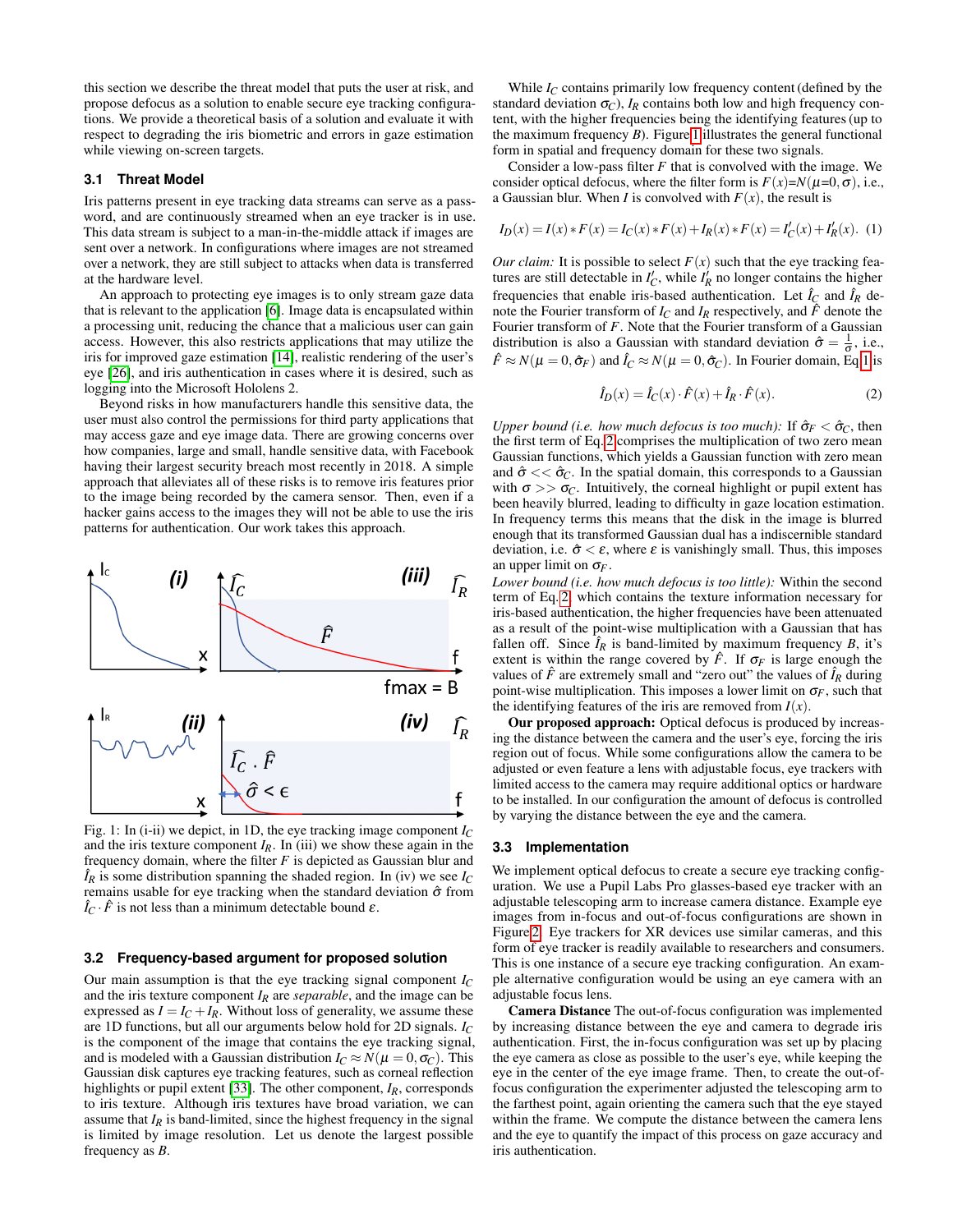this section we describe the threat model that puts the user at risk, and propose defocus as a solution to enable secure eye tracking configurations. We provide a theoretical basis of a solution and evaluate it with respect to degrading the iris biometric and errors in gaze estimation while viewing on-screen targets.

## **3.1 Threat Model**

Iris patterns present in eye tracking data streams can serve as a password, and are continuously streamed when an eye tracker is in use. This data stream is subject to a man-in-the-middle attack if images are sent over a network. In configurations where images are not streamed over a network, they are still subject to attacks when data is transferred at the hardware level.

An approach to protecting eye images is to only stream gaze data that is relevant to the application [\[6\]](#page-9-33). Image data is encapsulated within a processing unit, reducing the chance that a malicious user can gain access. However, this also restricts applications that may utilize the iris for improved gaze estimation [\[14\]](#page-9-34), realistic rendering of the user's eye [\[26\]](#page-9-35), and iris authentication in cases where it is desired, such as logging into the Microsoft Hololens 2.

Beyond risks in how manufacturers handle this sensitive data, the user must also control the permissions for third party applications that may access gaze and eye image data. There are growing concerns over how companies, large and small, handle sensitive data, with Facebook having their largest security breach most recently in 2018. A simple approach that alleviates all of these risks is to remove iris features prior to the image being recorded by the camera sensor. Then, even if a hacker gains access to the images they will not be able to use the iris patterns for authentication. Our work takes this approach.

<span id="page-2-0"></span>

Fig. 1: In (i-ii) we depict, in 1D, the eye tracking image component  $I_C$ and the iris texture component  $I_R$ . In (iii) we show these again in the frequency domain, where the filter *F* is depicted as Gaussian blur and  $I_R$  is some distribution spanning the shaded region. In (iv) we see  $I_C$ remains usable for eye tracking when the standard deviation  $\hat{\sigma}$  from  $\hat{I}_C \cdot \hat{F}$  is not less than a minimum detectable bound  $\varepsilon$ .

# **3.2 Frequency-based argument for proposed solution**

Our main assumption is that the eye tracking signal component *I<sup>C</sup>* and the iris texture component  $I_R$  are *separable*, and the image can be expressed as  $I = I_C + I_R$ . Without loss of generality, we assume these are 1D functions, but all our arguments below hold for 2D signals. *I<sup>C</sup>* is the component of the image that contains the eye tracking signal, and is modeled with a Gaussian distribution  $I_C \approx N(\mu = 0, \sigma_C)$ . This Gaussian disk captures eye tracking features, such as corneal reflection highlights or pupil extent [\[33\]](#page-9-36). The other component, *IR*, corresponds to iris texture. Although iris textures have broad variation, we can assume that  $I_R$  is band-limited, since the highest frequency in the signal is limited by image resolution. Let us denote the largest possible frequency as *B*.

While  $I_C$  contains primarily low frequency content (defined by the standard deviation  $\sigma_C$ ),  $I_R$  contains both low and high frequency content, with the higher frequencies being the identifying features (up to the maximum frequency *B*). Figure [1](#page-2-0) illustrates the general functional form in spatial and frequency domain for these two signals.

Consider a low-pass filter *F* that is convolved with the image. We consider optical defocus, where the filter form is  $F(x)=N(\mu=0,\sigma)$ , i.e., a Gaussian blur. When *I* is convolved with  $F(x)$ , the result is

<span id="page-2-1"></span>
$$
I_D(x) = I(x) * F(x) = I_C(x) * F(x) + I_R(x) * F(x) = I'_C(x) + I'_R(x).
$$
 (1)

*Our claim:* It is possible to select  $F(x)$  such that the eye tracking features are still detectable in  $I_C'$ , while  $I_R'$  no longer contains the higher frequencies that enable iris-based authentication. Let  $\hat{I}_C$  and  $\hat{I}_R$  denote the Fourier transform of  $I_C$  and  $I_R$  respectively, and  $\hat{F}$  denote the Fourier transform of *F*. Note that the Fourier transform of a Gaussian distribution is also a Gaussian with standard deviation  $\hat{\sigma} = \frac{1}{\sigma}$ , i.e.,  $\hat{F} \approx N(\mu = 0, \hat{\sigma}_F)$  and  $\hat{I}_C \approx N(\mu = 0, \hat{\sigma}_C)$ . In Fourier domain, Eq[.1](#page-2-1) is

<span id="page-2-2"></span>
$$
\hat{I}_D(x) = \hat{I}_C(x) \cdot \hat{F}(x) + \hat{I}_R \cdot \hat{F}(x).
$$
 (2)

*Upper bound (i.e. how much defocus is too much):* If  $\hat{\sigma}_F < \hat{\sigma}_C$ , then the first term of Eq. [2](#page-2-2) comprises the multiplication of two zero mean Gaussian functions, which yields a Gaussian function with zero mean and  $\hat{\sigma} \ll \hat{\sigma}_C$ . In the spatial domain, this corresponds to a Gaussian with  $\sigma >> \sigma_C$ . Intuitively, the corneal highlight or pupil extent has been heavily blurred, leading to difficulty in gaze location estimation. In frequency terms this means that the disk in the image is blurred enough that its transformed Gaussian dual has a indiscernible standard deviation, i.e.  $\hat{\sigma} < \varepsilon$ , where  $\varepsilon$  is vanishingly small. Thus, this imposes an upper limit on  $\sigma_F$ .

*Lower bound (i.e. how much defocus is too little):* Within the second term of Eq. [2,](#page-2-2) which contains the texture information necessary for iris-based authentication, the higher frequencies have been attenuated as a result of the point-wise multiplication with a Gaussian that has fallen off. Since  $\hat{I}_R$  is band-limited by maximum frequency *B*, it's extent is within the range covered by  $\ddot{F}$ . If  $\sigma_F$  is large enough the values of  $\hat{F}$  are extremely small and "zero out" the values of  $\hat{I}_R$  during point-wise multiplication. This imposes a lower limit on  $\sigma_F$ , such that the identifying features of the iris are removed from  $I(x)$ .

Our proposed approach: Optical defocus is produced by increasing the distance between the camera and the user's eye, forcing the iris region out of focus. While some configurations allow the camera to be adjusted or even feature a lens with adjustable focus, eye trackers with limited access to the camera may require additional optics or hardware to be installed. In our configuration the amount of defocus is controlled by varying the distance between the eye and the camera.

#### <span id="page-2-3"></span>**3.3 Implementation**

We implement optical defocus to create a secure eye tracking configuration. We use a Pupil Labs Pro glasses-based eye tracker with an adjustable telescoping arm to increase camera distance. Example eye images from in-focus and out-of-focus configurations are shown in Figure [2.](#page-3-0) Eye trackers for XR devices use similar cameras, and this form of eye tracker is readily available to researchers and consumers. This is one instance of a secure eye tracking configuration. An example alternative configuration would be using an eye camera with an adjustable focus lens.

Camera Distance The out-of-focus configuration was implemented by increasing distance between the eye and camera to degrade iris authentication. First, the in-focus configuration was set up by placing the eye camera as close as possible to the user's eye, while keeping the eye in the center of the eye image frame. Then, to create the out-offocus configuration the experimenter adjusted the telescoping arm to the farthest point, again orienting the camera such that the eye stayed within the frame. We compute the distance between the camera lens and the eye to quantify the impact of this process on gaze accuracy and iris authentication.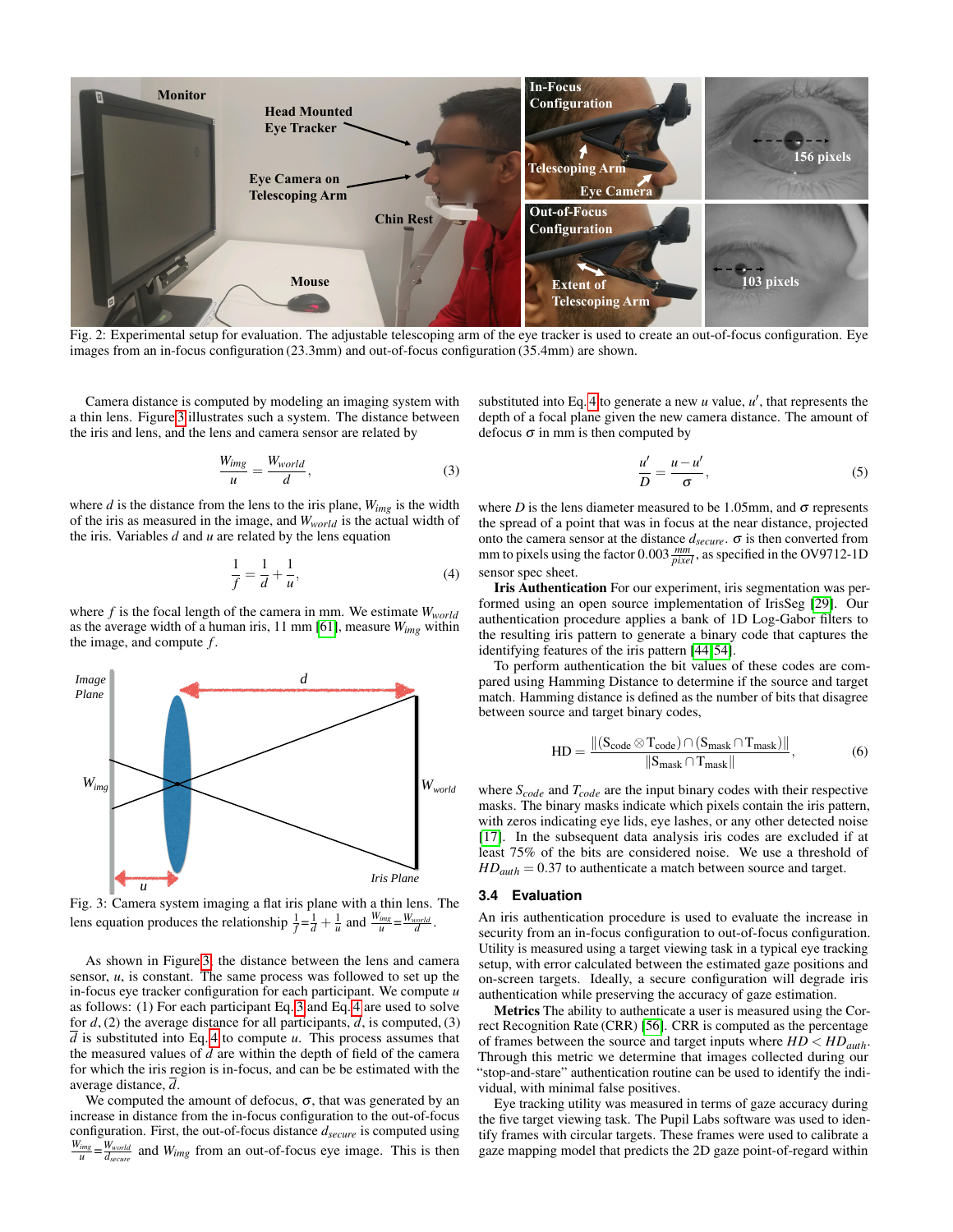<span id="page-3-0"></span>

Fig. 2: Experimental setup for evaluation. The adjustable telescoping arm of the eye tracker is used to create an out-of-focus configuration. Eye images from an in-focus configuration (23.3mm) and out-of-focus configuration (35.4mm) are shown.

Camera distance is computed by modeling an imaging system with a thin lens. Figure [3](#page-3-1) illustrates such a system. The distance between the iris and lens, and the lens and camera sensor are related by

<span id="page-3-2"></span>
$$
\frac{W_{img}}{u} = \frac{W_{world}}{d},\tag{3}
$$

where *d* is the distance from the lens to the iris plane, *Wimg* is the width of the iris as measured in the image, and *Wworld* is the actual width of the iris. Variables *d* and *u* are related by the lens equation

<span id="page-3-3"></span>
$$
\frac{1}{f} = \frac{1}{d} + \frac{1}{u},
$$
\n(4)

where  $f$  is the focal length of the camera in mm. We estimate  $W_{world}$ as the average width of a human iris, 11 mm [\[61\]](#page-10-31), measure *Wimg* within the image, and compute *f* .

<span id="page-3-1"></span>

Fig. 3: Camera system imaging a flat iris plane with a thin lens. The lens equation produces the relationship  $\frac{1}{f} = \frac{1}{d} + \frac{1}{u}$  and  $\frac{W_{img}}{u} = \frac{W_{world}}{d}$ .

As shown in Figure [3,](#page-3-1) the distance between the lens and camera sensor, *u*, is constant. The same process was followed to set up the in-focus eye tracker configuration for each participant. We compute *u* as follows: (1) For each participant Eq. [3](#page-3-2) and Eq. [4](#page-3-3) are used to solve for  $d$ , (2) the average distance for all participants,  $d$ , is computed, (3)  $\overline{d}$  is substituted into Eq. [4](#page-3-3) to compute *u*. This process assumes that the measured values of *d* are within the depth of field of the camera for which the iris region is in-focus, and can be be estimated with the average distance, *d*.

We computed the amount of defocus,  $\sigma$ , that was generated by an increase in distance from the in-focus configuration to the out-of-focus configuration. First, the out-of-focus distance *dsecure* is computed using  $\frac{W_{img}}{u} = \frac{W_{word}}{d_{secure}}$  and  $W_{img}$  from an out-of-focus eye image. This is then

substituted into Eq. [4](#page-3-3) to generate a new  $u$  value,  $u'$ , that represents the depth of a focal plane given the new camera distance. The amount of defocus  $\sigma$  in mm is then computed by

<span id="page-3-4"></span>
$$
\frac{u'}{D} = \frac{u - u'}{\sigma},\tag{5}
$$

where *D* is the lens diameter measured to be 1.05mm, and  $\sigma$  represents the spread of a point that was in focus at the near distance, projected onto the camera sensor at the distance *dsecure*. σ is then converted from mm to pixels using the factor  $0.003 \frac{mm}{pixel}$ , as specified in the OV9712-1D sensor spec sheet.

Iris Authentication For our experiment, iris segmentation was performed using an open source implementation of IrisSeg [\[29\]](#page-9-37). Our authentication procedure applies a bank of 1D Log-Gabor filters to the resulting iris pattern to generate a binary code that captures the identifying features of the iris pattern [\[44,](#page-9-21) [54\]](#page-10-32).

To perform authentication the bit values of these codes are compared using Hamming Distance to determine if the source and target match. Hamming distance is defined as the number of bits that disagree between source and target binary codes,

$$
HD = \frac{\| (S_{code} \otimes T_{code}) \cap (S_{mask} \cap T_{mask}) \|}{\|S_{mask} \cap T_{mask} \|},
$$
(6)

where *Scode* and *Tcode* are the input binary codes with their respective masks. The binary masks indicate which pixels contain the iris pattern, with zeros indicating eye lids, eye lashes, or any other detected noise [\[17\]](#page-9-23). In the subsequent data analysis iris codes are excluded if at least 75% of the bits are considered noise. We use a threshold of *HDauth* = 0.37 to authenticate a match between source and target.

# <span id="page-3-5"></span>**3.4 Evaluation**

An iris authentication procedure is used to evaluate the increase in security from an in-focus configuration to out-of-focus configuration. Utility is measured using a target viewing task in a typical eye tracking setup, with error calculated between the estimated gaze positions and on-screen targets. Ideally, a secure configuration will degrade iris authentication while preserving the accuracy of gaze estimation.

Metrics The ability to authenticate a user is measured using the Correct Recognition Rate (CRR) [\[56\]](#page-10-33). CRR is computed as the percentage of frames between the source and target inputs where *HD* < *HDauth*. Through this metric we determine that images collected during our "stop-and-stare" authentication routine can be used to identify the individual, with minimal false positives.

Eye tracking utility was measured in terms of gaze accuracy during the five target viewing task. The Pupil Labs software was used to identify frames with circular targets. These frames were used to calibrate a gaze mapping model that predicts the 2D gaze point-of-regard within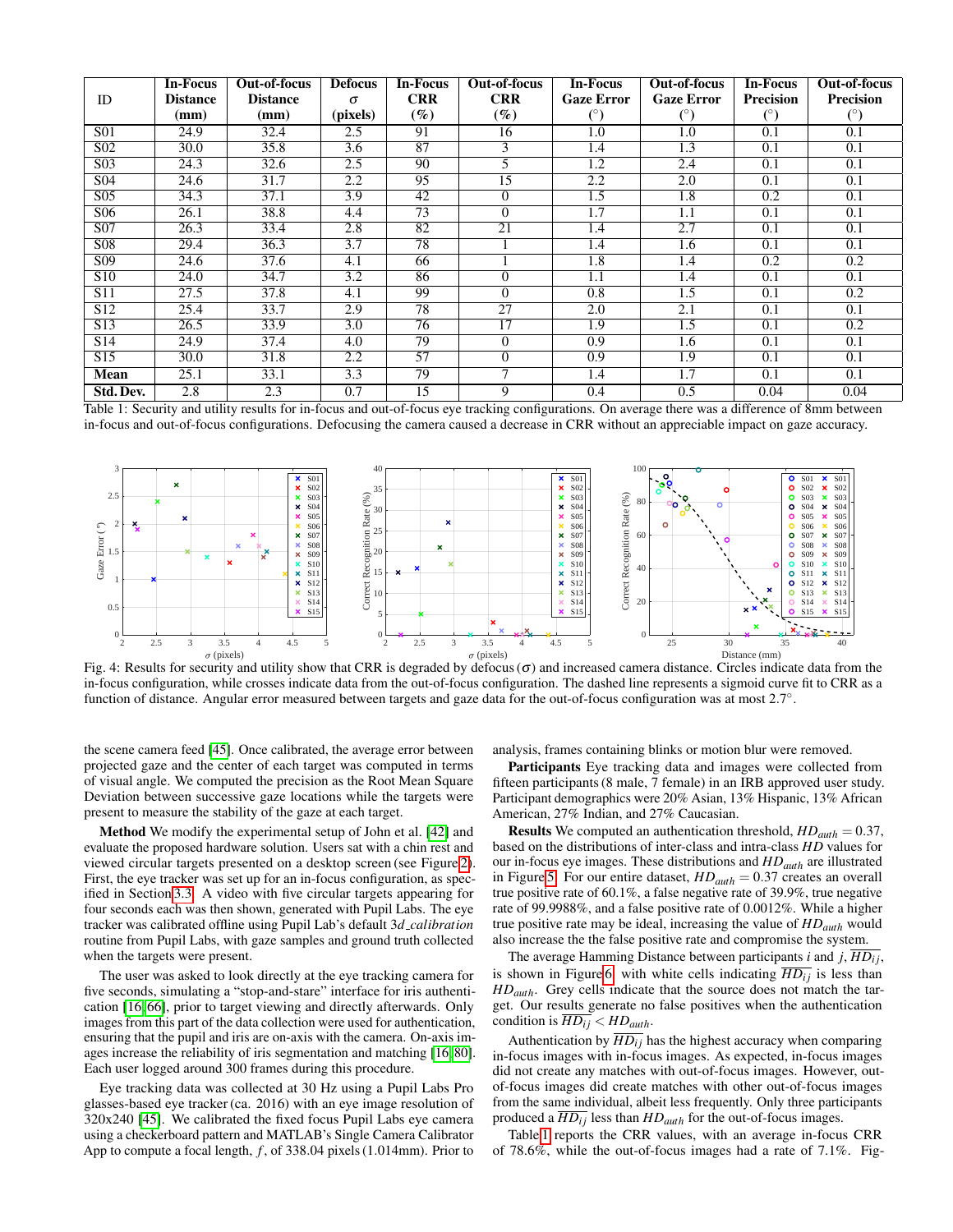<span id="page-4-0"></span>

| ID               | <b>In-Focus</b><br><b>Distance</b> | Out-of-focus<br><b>Distance</b> | <b>Defocus</b><br>$\sigma$ | <b>In-Focus</b><br><b>CRR</b> | Out-of-focus<br><b>CRR</b> | <b>In-Focus</b><br><b>Gaze Error</b> | Out-of-focus<br><b>Gaze Error</b> | <b>In-Focus</b><br><b>Precision</b> | Out-of-focus<br><b>Precision</b> |
|------------------|------------------------------------|---------------------------------|----------------------------|-------------------------------|----------------------------|--------------------------------------|-----------------------------------|-------------------------------------|----------------------------------|
|                  | (mm)                               | (mm)                            | (pixels)                   | $(\%)$                        | $(\%)$                     |                                      |                                   | $(^\circ)$                          | $(^\circ)$                       |
| S <sub>01</sub>  | 24.9                               | 32.4                            | 2.5                        | 91                            | 16                         | 1.0                                  | 1.0                               | 0.1                                 | 0.1                              |
| S <sub>0</sub> 2 | 30.0                               | 35.8                            | 3.6                        | 87                            | 3                          | 1.4                                  | 1.3                               | 0.1                                 | 0.1                              |
| S <sub>03</sub>  | 24.3                               | 32.6                            | 2.5                        | 90                            | 5                          | 1.2                                  | 2.4                               | 0.1                                 | 0.1                              |
| S <sub>04</sub>  | 24.6                               | 31.7                            | 2.2                        | 95                            | 15                         | 2.2                                  | 2.0                               | 0.1                                 | 0.1                              |
| S <sub>05</sub>  | 34.3                               | 37.1                            | 3.9                        | 42                            | $\Omega$                   | 1.5                                  | 1.8                               | 0.2                                 | 0.1                              |
| S <sub>06</sub>  | 26.1                               | 38.8                            | 4.4                        | $\overline{73}$               | $\Omega$                   | 1.7                                  | 1.1                               | 0.1                                 | 0.1                              |
| S <sub>07</sub>  | 26.3                               | 33.4                            | 2.8                        | 82                            | 21                         | 1.4                                  | 2.7                               | 0.1                                 | 0.1                              |
| S <sub>08</sub>  | 29.4                               | 36.3                            | 3.7                        | 78                            |                            | 1.4                                  | 1.6                               | 0.1                                 | 0.1                              |
| $\overline{S09}$ | 24.6                               | 37.6                            | 4.1                        | 66                            |                            | 1.8                                  | 1.4                               | 0.2                                 | 0.2                              |
| S <sub>10</sub>  | 24.0                               | 34.7                            | 3.2                        | 86                            | $\Omega$                   | 1.1                                  | 1.4                               | 0.1                                 | 0.1                              |
| S <sub>11</sub>  | 27.5                               | 37.8                            | 4.1                        | 99                            | $\Omega$                   | 0.8                                  | 1.5                               | 0.1                                 | 0.2                              |
| $\overline{S12}$ | 25.4                               | 33.7                            | 2.9                        | 78                            | 27                         | 2.0                                  | 2.1                               | 0.1                                 | 0.1                              |
| S <sub>13</sub>  | 26.5                               | 33.9                            | 3.0                        | 76                            | 17                         | 1.9                                  | 1.5                               | 0.1                                 | 0.2                              |
| S <sub>14</sub>  | 24.9                               | 37.4                            | 4.0                        | 79                            | $\Omega$                   | 0.9                                  | 1.6                               | 0.1                                 | 0.1                              |
| S15              | 30.0                               | 31.8                            | 2.2                        | 57                            | $\Omega$                   | 0.9                                  | 1.9                               | 0.1                                 | $\overline{0.1}$                 |
| Mean             | $\overline{25.1}$                  | 33.1                            | $\overline{3.3}$           | 79                            | 7                          | 1.4                                  | 1.7                               | 0.1                                 | 0.1                              |
| Std. Dev.        | $\overline{2.8}$                   | $\overline{2.3}$                | 0.7                        | $\overline{15}$               | 9                          | 0.4                                  | 0.5                               | 0.04                                | 0.04                             |

Table 1: Security and utility results for in-focus and out-of-focus eye tracking configurations. On average there was a difference of 8mm between in-focus and out-of-focus configurations. Defocusing the camera caused a decrease in CRR without an appreciable impact on gaze accuracy.

<span id="page-4-1"></span>

Fig. 4: Results for security and utility show that CRR is degraded by defocus  $(\sigma)$  and increased camera distance. Circles indicate data from the in-focus configuration, while crosses indicate data from the out-of-focus configuration. The dashed line represents a sigmoid curve fit to CRR as a function of distance. Angular error measured between targets and gaze data for the out-of-focus configuration was at most 2.7°.

the scene camera feed [\[45\]](#page-9-8). Once calibrated, the average error between projected gaze and the center of each target was computed in terms of visual angle. We computed the precision as the Root Mean Square Deviation between successive gaze locations while the targets were present to measure the stability of the gaze at each target.

Method We modify the experimental setup of John et al. [\[42\]](#page-9-4) and evaluate the proposed hardware solution. Users sat with a chin rest and viewed circular targets presented on a desktop screen (see Figure [2\)](#page-3-0). First, the eye tracker was set up for an in-focus configuration, as specified in Section [3.3.](#page-2-3) A video with five circular targets appearing for four seconds each was then shown, generated with Pupil Labs. The eye tracker was calibrated offline using Pupil Lab's default 3*d calibration* routine from Pupil Labs, with gaze samples and ground truth collected when the targets were present.

The user was asked to look directly at the eye tracking camera for five seconds, simulating a "stop-and-stare" interface for iris authentication [\[16,](#page-9-22) [66\]](#page-10-34), prior to target viewing and directly afterwards. Only images from this part of the data collection were used for authentication, ensuring that the pupil and iris are on-axis with the camera. On-axis images increase the reliability of iris segmentation and matching [\[16,](#page-9-22) [80\]](#page-10-35). Each user logged around 300 frames during this procedure.

Eye tracking data was collected at 30 Hz using a Pupil Labs Pro glasses-based eye tracker (ca. 2016) with an eye image resolution of 320x240 [\[45\]](#page-9-8). We calibrated the fixed focus Pupil Labs eye camera using a checkerboard pattern and MATLAB's Single Camera Calibrator App to compute a focal length, *f*, of 338.04 pixels (1.014mm). Prior to

analysis, frames containing blinks or motion blur were removed.

Participants Eye tracking data and images were collected from fifteen participants (8 male, 7 female) in an IRB approved user study. Participant demographics were 20% Asian, 13% Hispanic, 13% African American, 27% Indian, and 27% Caucasian.

Results We computed an authentication threshold, *HDauth* = 0.37, based on the distributions of inter-class and intra-class *HD* values for our in-focus eye images. These distributions and *HDauth* are illustrated in Figure [5.](#page-5-0) For our entire dataset, *HDauth* = 0.37 creates an overall true positive rate of 60.1%, a false negative rate of 39.9%, true negative rate of 99.9988%, and a false positive rate of 0.0012%. While a higher true positive rate may be ideal, increasing the value of *HDauth* would also increase the the false positive rate and compromise the system.

The average Hamming Distance between participants *i* and *j*,  $\overline{HD_{ij}}$ , is shown in Figure [6,](#page-5-0) with white cells indicating  $\overline{HD_{ij}}$  is less than *HDauth*. Grey cells indicate that the source does not match the target. Our results generate no false positives when the authentication condition is  $\overline{HD_{ij}}$  <  $HD_{auth}$ .

Authentication by  $\overline{HD_{ij}}$  has the highest accuracy when comparing in-focus images with in-focus images. As expected, in-focus images did not create any matches with out-of-focus images. However, outof-focus images did create matches with other out-of-focus images from the same individual, albeit less frequently. Only three participants produced a  $\overline{HD_{ij}}$  less than  $HD_{auth}$  for the out-of-focus images.

Table [1](#page-4-0) reports the CRR values, with an average in-focus CRR of 78.6%, while the out-of-focus images had a rate of 7.1%. Fig-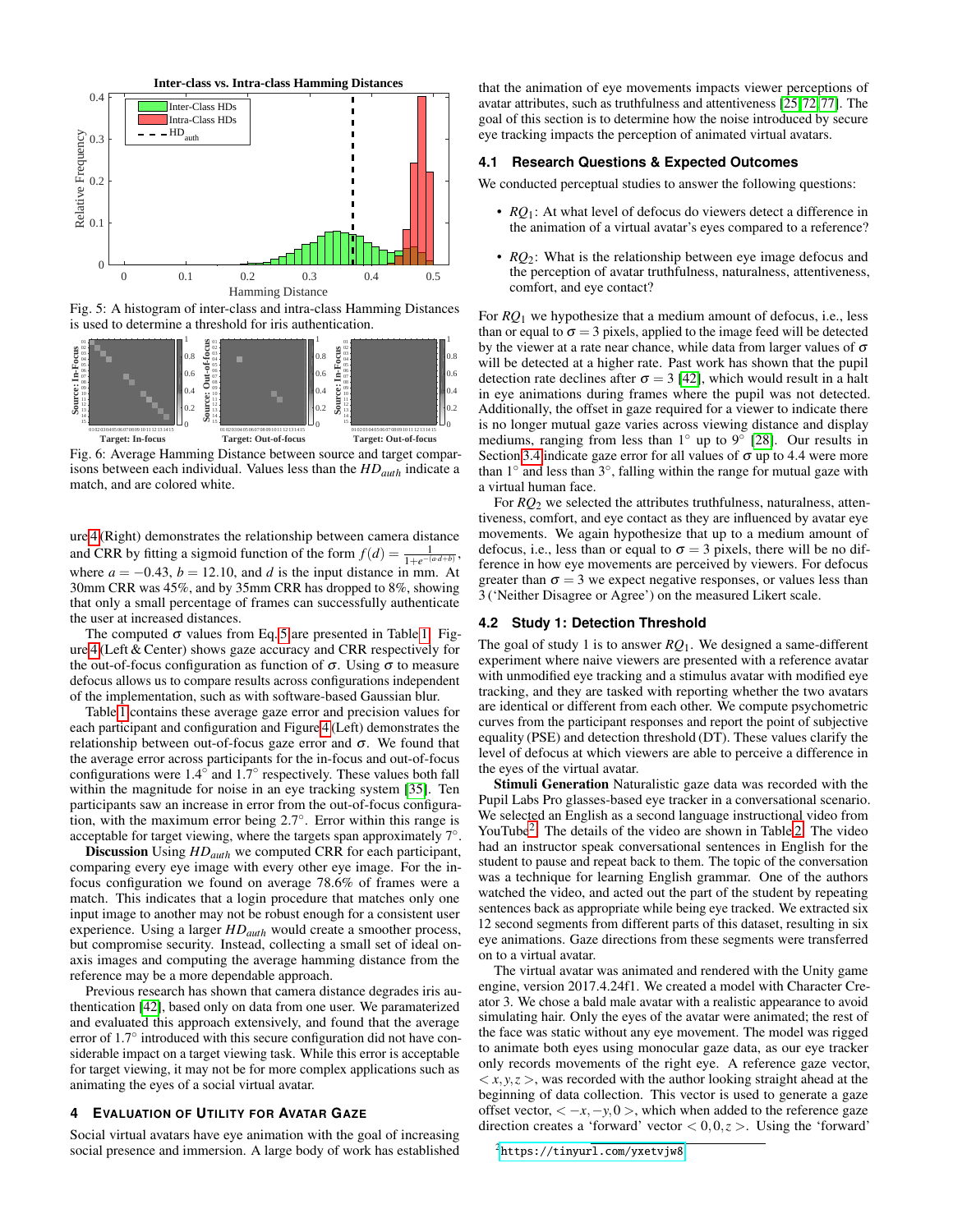<span id="page-5-0"></span>

Fig. 5: A histogram of inter-class and intra-class Hamming Distances is used to determine a threshold for iris authentication.



Fig. 6: Average Hamming Distance between source and target comparisons between each individual. Values less than the *HDauth* indicate a match, and are colored white.

ure [4](#page-4-1) (Right) demonstrates the relationship between camera distance and CRR by fitting a sigmoid function of the form  $f(d) = \frac{1}{1 + e^{-(a \cdot d + b)}}$ , where  $a = -0.43$ ,  $b = 12.10$ , and  $d$  is the input distance in mm. At 30mm CRR was 45%, and by 35mm CRR has dropped to 8%, showing that only a small percentage of frames can successfully authenticate the user at increased distances.

The computed  $\sigma$  values from Eq. [5](#page-3-4) are presented in Table [1.](#page-4-0) Figure [4](#page-4-1) (Left & Center) shows gaze accuracy and CRR respectively for the out-of-focus configuration as function of  $\sigma$ . Using  $\sigma$  to measure defocus allows us to compare results across configurations independent of the implementation, such as with software-based Gaussian blur.

Table [1](#page-4-0) contains these average gaze error and precision values for each participant and configuration and Figure [4](#page-4-1) (Left) demonstrates the relationship between out-of-focus gaze error and  $\sigma$ . We found that the average error across participants for the in-focus and out-of-focus configurations were  $1.4^\circ$  and  $1.7^\circ$  respectively. These values both fall within the magnitude for noise in an eye tracking system [\[35\]](#page-9-38). Ten participants saw an increase in error from the out-of-focus configuration, with the maximum error being 2.7◦ . Error within this range is acceptable for target viewing, where the targets span approximately  $7^\circ$ .

Discussion Using *HDauth* we computed CRR for each participant, comparing every eye image with every other eye image. For the infocus configuration we found on average 78.6% of frames were a match. This indicates that a login procedure that matches only one input image to another may not be robust enough for a consistent user experience. Using a larger *HDauth* would create a smoother process, but compromise security. Instead, collecting a small set of ideal onaxis images and computing the average hamming distance from the reference may be a more dependable approach.

Previous research has shown that camera distance degrades iris authentication [\[42\]](#page-9-4), based only on data from one user. We paramaterized and evaluated this approach extensively, and found that the average error of 1.7° introduced with this secure configuration did not have considerable impact on a target viewing task. While this error is acceptable for target viewing, it may not be for more complex applications such as animating the eyes of a social virtual avatar.

#### **4 EVALUATION OF UTILITY FOR AVATAR GAZE**

Social virtual avatars have eye animation with the goal of increasing social presence and immersion. A large body of work has established that the animation of eye movements impacts viewer perceptions of avatar attributes, such as truthfulness and attentiveness [\[25,](#page-9-39) [72,](#page-10-36) [77\]](#page-10-17). The goal of this section is to determine how the noise introduced by secure eye tracking impacts the perception of animated virtual avatars.

## **4.1 Research Questions & Expected Outcomes**

We conducted perceptual studies to answer the following questions:

- *RQ*1: At what level of defocus do viewers detect a difference in the animation of a virtual avatar's eyes compared to a reference?
- *RQ*2: What is the relationship between eye image defocus and the perception of avatar truthfulness, naturalness, attentiveness, comfort, and eye contact?

For *RQ*<sup>1</sup> we hypothesize that a medium amount of defocus, i.e., less than or equal to  $\sigma = 3$  pixels, applied to the image feed will be detected by the viewer at a rate near chance, while data from larger values of  $\sigma$ will be detected at a higher rate. Past work has shown that the pupil detection rate declines after  $\sigma = 3$  [\[42\]](#page-9-4), which would result in a halt in eye animations during frames where the pupil was not detected. Additionally, the offset in gaze required for a viewer to indicate there is no longer mutual gaze varies across viewing distance and display mediums, ranging from less than  $1^\circ$  up to  $9^\circ$  [\[28\]](#page-9-40). Our results in Section [3.4](#page-3-5) indicate gaze error for all values of  $\sigma$  up to 4.4 were more than  $1^\circ$  and less than  $3^\circ$ , falling within the range for mutual gaze with a virtual human face.

For *RQ*<sup>2</sup> we selected the attributes truthfulness, naturalness, attentiveness, comfort, and eye contact as they are influenced by avatar eye movements. We again hypothesize that up to a medium amount of defocus, i.e., less than or equal to  $\sigma = 3$  pixels, there will be no difference in how eye movements are perceived by viewers. For defocus greater than  $\sigma = 3$  we expect negative responses, or values less than 3 ('Neither Disagree or Agree') on the measured Likert scale.

#### <span id="page-5-2"></span>**4.2 Study 1: Detection Threshold**

The goal of study 1 is to answer *RQ*1. We designed a same-different experiment where naive viewers are presented with a reference avatar with unmodified eye tracking and a stimulus avatar with modified eye tracking, and they are tasked with reporting whether the two avatars are identical or different from each other. We compute psychometric curves from the participant responses and report the point of subjective equality (PSE) and detection threshold (DT). These values clarify the level of defocus at which viewers are able to perceive a difference in the eyes of the virtual avatar.

Stimuli Generation Naturalistic gaze data was recorded with the Pupil Labs Pro glasses-based eye tracker in a conversational scenario. We selected an English as a second language instructional video from YouTube[2](#page-5-1) . The details of the video are shown in Table [2.](#page-6-0) The video had an instructor speak conversational sentences in English for the student to pause and repeat back to them. The topic of the conversation was a technique for learning English grammar. One of the authors watched the video, and acted out the part of the student by repeating sentences back as appropriate while being eye tracked. We extracted six 12 second segments from different parts of this dataset, resulting in six eye animations. Gaze directions from these segments were transferred on to a virtual avatar.

The virtual avatar was animated and rendered with the Unity game engine, version 2017.4.24f1. We created a model with Character Creator 3. We chose a bald male avatar with a realistic appearance to avoid simulating hair. Only the eyes of the avatar were animated; the rest of the face was static without any eye movement. The model was rigged to animate both eyes using monocular gaze data, as our eye tracker only records movements of the right eye. A reference gaze vector,  $\langle x, y, z \rangle$ , was recorded with the author looking straight ahead at the beginning of data collection. This vector is used to generate a gaze offset vector, < −*x*,−*y*,0 >, which when added to the reference gaze direction creates a 'forward' vector  $< 0, 0, z >$ . Using the 'forward'

<span id="page-5-1"></span> $^{2}$ <https://tinyurl.com/yxetvjw8>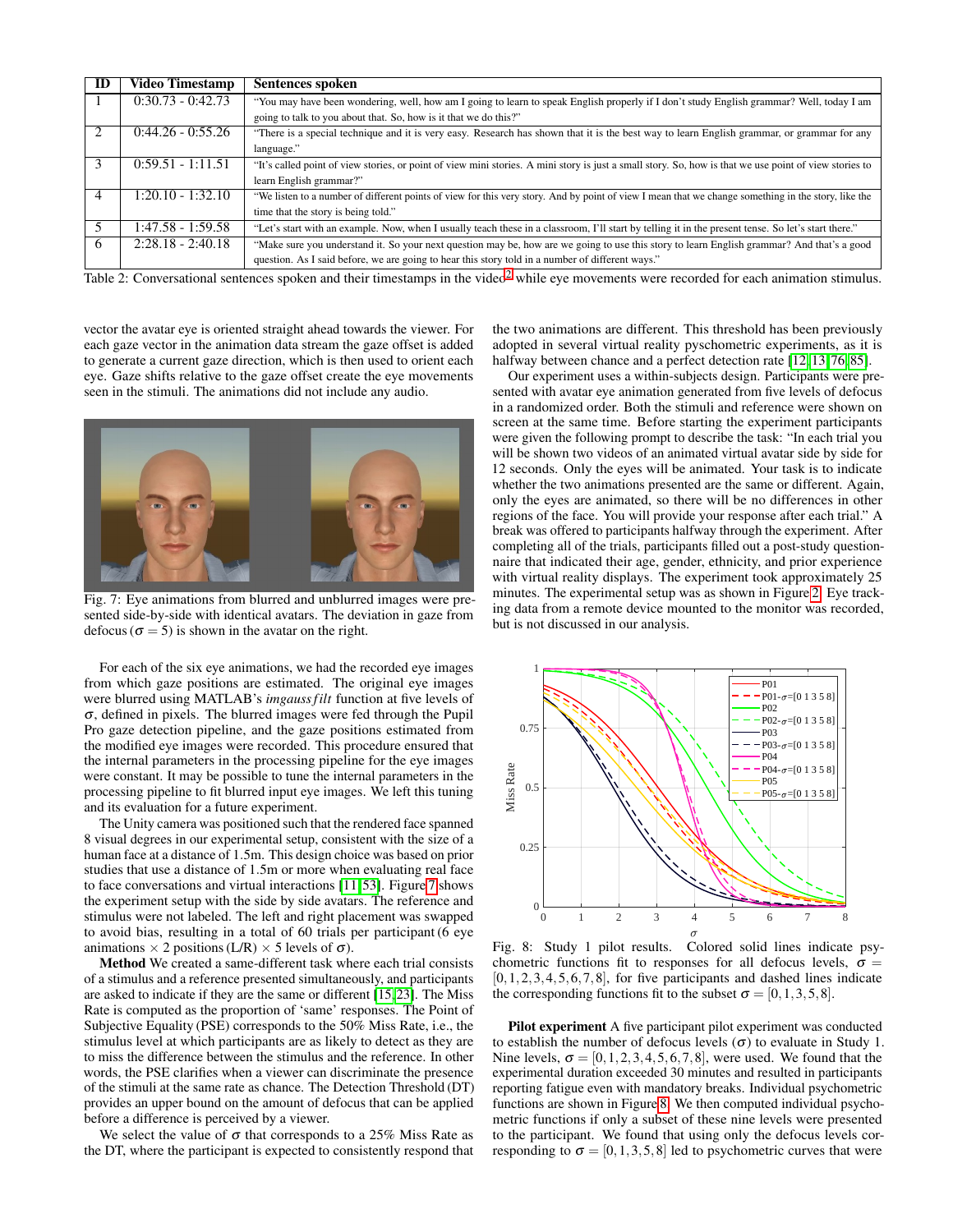<span id="page-6-0"></span>

| ID | Video Timestamp     | Sentences spoken                                                                                                                                       |  |  |  |
|----|---------------------|--------------------------------------------------------------------------------------------------------------------------------------------------------|--|--|--|
|    | $0:30.73 - 0:42.73$ | "You may have been wondering, well, how am I going to learn to speak English properly if I don't study English grammar? Well, today I am               |  |  |  |
|    |                     | going to talk to you about that. So, how is it that we do this?"                                                                                       |  |  |  |
| 2  | $0:44.26 - 0:55.26$ | "There is a special technique and it is very easy. Research has shown that it is the best way to learn English grammar, or grammar for any             |  |  |  |
|    |                     | language."                                                                                                                                             |  |  |  |
| 3  | $0:59.51 - 1:11.51$ | "It's called point of view stories, or point of view mini stories. A mini story is just a small story. So, how is that we use point of view stories to |  |  |  |
|    |                     | learn English grammar?"                                                                                                                                |  |  |  |
| 4  | $1:20.10 - 1:32.10$ | "We listen to a number of different points of view for this very story. And by point of view I mean that we change something in the story, like the    |  |  |  |
|    |                     | time that the story is being told."                                                                                                                    |  |  |  |
| 5  | $1:47.58 - 1:59.58$ | "Let's start with an example. Now, when I usually teach these in a classroom, I'll start by telling it in the present tense. So let's start there."    |  |  |  |
| 6  | $2:28.18 - 2:40.18$ | "Make sure you understand it. So your next question may be, how are we going to use this story to learn English grammar? And that's a good             |  |  |  |
|    |                     | question. As I said before, we are going to hear this story told in a number of different ways."                                                       |  |  |  |

Table [2](#page-5-2): Conversational sentences spoken and their timestamps in the video<sup>2</sup> while eye movements were recorded for each animation stimulus.

vector the avatar eye is oriented straight ahead towards the viewer. For each gaze vector in the animation data stream the gaze offset is added to generate a current gaze direction, which is then used to orient each eye. Gaze shifts relative to the gaze offset create the eye movements seen in the stimuli. The animations did not include any audio.

<span id="page-6-1"></span>

Fig. 7: Eye animations from blurred and unblurred images were presented side-by-side with identical avatars. The deviation in gaze from defocus ( $\sigma = 5$ ) is shown in the avatar on the right.

For each of the six eye animations, we had the recorded eye images from which gaze positions are estimated. The original eye images were blurred using MATLAB's *imgauss filt* function at five levels of σ, defined in pixels. The blurred images were fed through the Pupil Pro gaze detection pipeline, and the gaze positions estimated from the modified eye images were recorded. This procedure ensured that the internal parameters in the processing pipeline for the eye images were constant. It may be possible to tune the internal parameters in the processing pipeline to fit blurred input eye images. We left this tuning and its evaluation for a future experiment.

The Unity camera was positioned such that the rendered face spanned 8 visual degrees in our experimental setup, consistent with the size of a human face at a distance of 1.5m. This design choice was based on prior studies that use a distance of 1.5m or more when evaluating real face to face conversations and virtual interactions [\[11,](#page-9-41) [53\]](#page-10-7). Figure [7](#page-6-1) shows the experiment setup with the side by side avatars. The reference and stimulus were not labeled. The left and right placement was swapped to avoid bias, resulting in a total of 60 trials per participant (6 eye animations  $\times$  2 positions (L/R)  $\times$  5 levels of  $\sigma$ ).

Method We created a same-different task where each trial consists of a stimulus and a reference presented simultaneously, and participants are asked to indicate if they are the same or different [\[15,](#page-9-42) [23\]](#page-9-11). The Miss Rate is computed as the proportion of 'same' responses. The Point of Subjective Equality (PSE) corresponds to the 50% Miss Rate, i.e., the stimulus level at which participants are as likely to detect as they are to miss the difference between the stimulus and the reference. In other words, the PSE clarifies when a viewer can discriminate the presence of the stimuli at the same rate as chance. The Detection Threshold (DT) provides an upper bound on the amount of defocus that can be applied before a difference is perceived by a viewer.

We select the value of  $\sigma$  that corresponds to a 25% Miss Rate as the DT, where the participant is expected to consistently respond that the two animations are different. This threshold has been previously adopted in several virtual reality pyschometric experiments, as it is halfway between chance and a perfect detection rate [\[12,](#page-9-43) [13,](#page-9-9) [76,](#page-10-37) [85\]](#page-10-38).

Our experiment uses a within-subjects design. Participants were presented with avatar eye animation generated from five levels of defocus in a randomized order. Both the stimuli and reference were shown on screen at the same time. Before starting the experiment participants were given the following prompt to describe the task: "In each trial you will be shown two videos of an animated virtual avatar side by side for 12 seconds. Only the eyes will be animated. Your task is to indicate whether the two animations presented are the same or different. Again, only the eyes are animated, so there will be no differences in other regions of the face. You will provide your response after each trial." A break was offered to participants halfway through the experiment. After completing all of the trials, participants filled out a post-study questionnaire that indicated their age, gender, ethnicity, and prior experience with virtual reality displays. The experiment took approximately 25 minutes. The experimental setup was as shown in Figure [2.](#page-3-0) Eye tracking data from a remote device mounted to the monitor was recorded, but is not discussed in our analysis.

<span id="page-6-2"></span>

Fig. 8: Study 1 pilot results. Colored solid lines indicate psychometric functions fit to responses for all defocus levels,  $\sigma =$  $[0,1,2,3,4,5,6,7,8]$ , for five participants and dashed lines indicate the corresponding functions fit to the subset  $\sigma = [0, 1, 3, 5, 8]$ .

Pilot experiment A five participant pilot experiment was conducted to establish the number of defocus levels  $(\sigma)$  to evaluate in Study 1. Nine levels,  $\sigma = \begin{bmatrix} 0, 1, 2, 3, 4, 5, 6, 7, 8 \end{bmatrix}$ , were used. We found that the experimental duration exceeded 30 minutes and resulted in participants reporting fatigue even with mandatory breaks. Individual psychometric functions are shown in Figure [8.](#page-6-2) We then computed individual psychometric functions if only a subset of these nine levels were presented to the participant. We found that using only the defocus levels corresponding to  $\sigma = [0, 1, 3, 5, 8]$  led to psychometric curves that were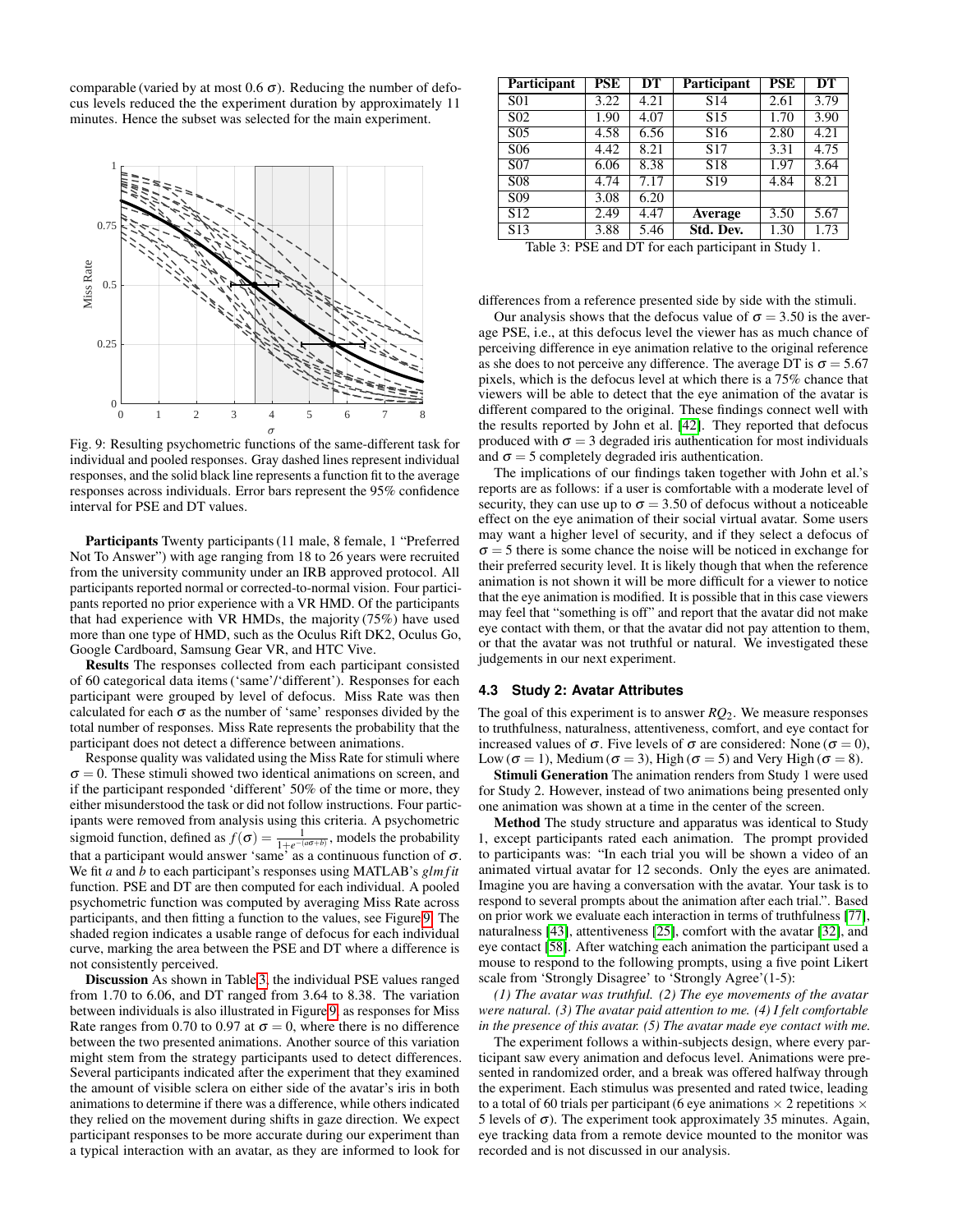comparable (varied by at most  $0.6 \sigma$ ). Reducing the number of defocus levels reduced the the experiment duration by approximately 11 minutes. Hence the subset was selected for the main experiment.

<span id="page-7-0"></span>

Fig. 9: Resulting psychometric functions of the same-different task for individual and pooled responses. Gray dashed lines represent individual responses, and the solid black line represents a function fit to the average responses across individuals. Error bars represent the 95% confidence interval for PSE and DT values.

Participants Twenty participants (11 male, 8 female, 1 "Preferred Not To Answer") with age ranging from 18 to 26 years were recruited from the university community under an IRB approved protocol. All participants reported normal or corrected-to-normal vision. Four participants reported no prior experience with a VR HMD. Of the participants that had experience with VR HMDs, the majority (75%) have used more than one type of HMD, such as the Oculus Rift DK2, Oculus Go, Google Cardboard, Samsung Gear VR, and HTC Vive.

Results The responses collected from each participant consisted of 60 categorical data items ('same'/'different'). Responses for each participant were grouped by level of defocus. Miss Rate was then calculated for each  $\sigma$  as the number of 'same' responses divided by the total number of responses. Miss Rate represents the probability that the participant does not detect a difference between animations.

Response quality was validated using the Miss Rate for stimuli where  $\sigma = 0$ . These stimuli showed two identical animations on screen, and if the participant responded 'different' 50% of the time or more, they either misunderstood the task or did not follow instructions. Four participants were removed from analysis using this criteria. A psychometric sigmoid function, defined as  $f(\sigma) = \frac{1}{1 + e^{-(a\sigma + b)}}$ , models the probability that a participant would answer 'same' as a continuous function of  $\sigma$ . We fit *a* and *b* to each participant's responses using MATLAB's *glm fit* function. PSE and DT are then computed for each individual. A pooled psychometric function was computed by averaging Miss Rate across participants, and then fitting a function to the values, see Figure [9.](#page-7-0) The shaded region indicates a usable range of defocus for each individual curve, marking the area between the PSE and DT where a difference is not consistently perceived.

Discussion As shown in Table [3,](#page-7-1) the individual PSE values ranged from 1.70 to 6.06, and DT ranged from 3.64 to 8.38. The variation between individuals is also illustrated in Figure [9,](#page-7-0) as responses for Miss Rate ranges from 0.70 to 0.97 at  $\sigma = 0$ , where there is no difference between the two presented animations. Another source of this variation might stem from the strategy participants used to detect differences. Several participants indicated after the experiment that they examined the amount of visible sclera on either side of the avatar's iris in both animations to determine if there was a difference, while others indicated they relied on the movement during shifts in gaze direction. We expect participant responses to be more accurate during our experiment than a typical interaction with an avatar, as they are informed to look for

<span id="page-7-1"></span>

| <b>Participant</b> | <b>PSE</b> | DT   | Participant      | <b>PSE</b> | DT   |
|--------------------|------------|------|------------------|------------|------|
| S <sub>01</sub>    | 3.22       | 4.21 | S <sub>14</sub>  | 2.61       | 3.79 |
| S <sub>0</sub> 2   | 1.90       | 4.07 | S <sub>15</sub>  | 1.70       | 3.90 |
| S <sub>05</sub>    | 4.58       | 6.56 | S <sub>16</sub>  | 2.80       | 4.21 |
| S <sub>06</sub>    | 4.42       | 8.21 | S <sub>17</sub>  | 3.31       | 4.75 |
| S <sub>07</sub>    | 6.06       | 8.38 | S <sub>18</sub>  | 1.97       | 3.64 |
| S <sub>08</sub>    | 4.74       | 7.17 | $\overline{S19}$ | 4.84       | 8.21 |
| S <sub>09</sub>    | 3.08       | 6.20 |                  |            |      |
| $\overline{S12}$   | 2.49       | 4.47 | Average          | 3.50       | 5.67 |
| S <sub>13</sub>    | 3.88       | 5.46 | Std. Dev.        | 1.30       | 1.73 |

Table 3: PSE and DT for each participant in Study 1.

differences from a reference presented side by side with the stimuli.

Our analysis shows that the defocus value of  $\sigma = 3.50$  is the average PSE, i.e., at this defocus level the viewer has as much chance of perceiving difference in eye animation relative to the original reference as she does to not perceive any difference. The average DT is  $\sigma = 5.67$ pixels, which is the defocus level at which there is a 75% chance that viewers will be able to detect that the eye animation of the avatar is different compared to the original. These findings connect well with the results reported by John et al. [\[42\]](#page-9-4). They reported that defocus produced with  $\sigma = 3$  degraded iris authentication for most individuals and  $\sigma = 5$  completely degraded iris authentication.

The implications of our findings taken together with John et al.'s reports are as follows: if a user is comfortable with a moderate level of security, they can use up to  $\sigma = 3.50$  of defocus without a noticeable effect on the eye animation of their social virtual avatar. Some users may want a higher level of security, and if they select a defocus of  $\sigma = 5$  there is some chance the noise will be noticed in exchange for their preferred security level. It is likely though that when the reference animation is not shown it will be more difficult for a viewer to notice that the eye animation is modified. It is possible that in this case viewers may feel that "something is off" and report that the avatar did not make eye contact with them, or that the avatar did not pay attention to them, or that the avatar was not truthful or natural. We investigated these judgements in our next experiment.

# **4.3 Study 2: Avatar Attributes**

The goal of this experiment is to answer *RQ*2. We measure responses to truthfulness, naturalness, attentiveness, comfort, and eye contact for increased values of  $\sigma$ . Five levels of  $\sigma$  are considered: None ( $\sigma = 0$ ), Low ( $\sigma = 1$ ), Medium ( $\sigma = 3$ ), High ( $\sigma = 5$ ) and Very High ( $\sigma = 8$ ).

Stimuli Generation The animation renders from Study 1 were used for Study 2. However, instead of two animations being presented only one animation was shown at a time in the center of the screen.

Method The study structure and apparatus was identical to Study 1, except participants rated each animation. The prompt provided to participants was: "In each trial you will be shown a video of an animated virtual avatar for 12 seconds. Only the eyes are animated. Imagine you are having a conversation with the avatar. Your task is to respond to several prompts about the animation after each trial.". Based on prior work we evaluate each interaction in terms of truthfulness [\[77\]](#page-10-17), naturalness [\[43\]](#page-9-12), attentiveness [\[25\]](#page-9-39), comfort with the avatar [\[32\]](#page-9-44), and eye contact [\[58\]](#page-10-39). After watching each animation the participant used a mouse to respond to the following prompts, using a five point Likert scale from 'Strongly Disagree' to 'Strongly Agree'(1-5):

*(1) The avatar was truthful. (2) The eye movements of the avatar were natural. (3) The avatar paid attention to me. (4) I felt comfortable in the presence of this avatar. (5) The avatar made eye contact with me.*

The experiment follows a within-subjects design, where every participant saw every animation and defocus level. Animations were presented in randomized order, and a break was offered halfway through the experiment. Each stimulus was presented and rated twice, leading to a total of 60 trials per participant (6 eye animations  $\times$  2 repetitions  $\times$ 5 levels of  $\sigma$ ). The experiment took approximately 35 minutes. Again, eye tracking data from a remote device mounted to the monitor was recorded and is not discussed in our analysis.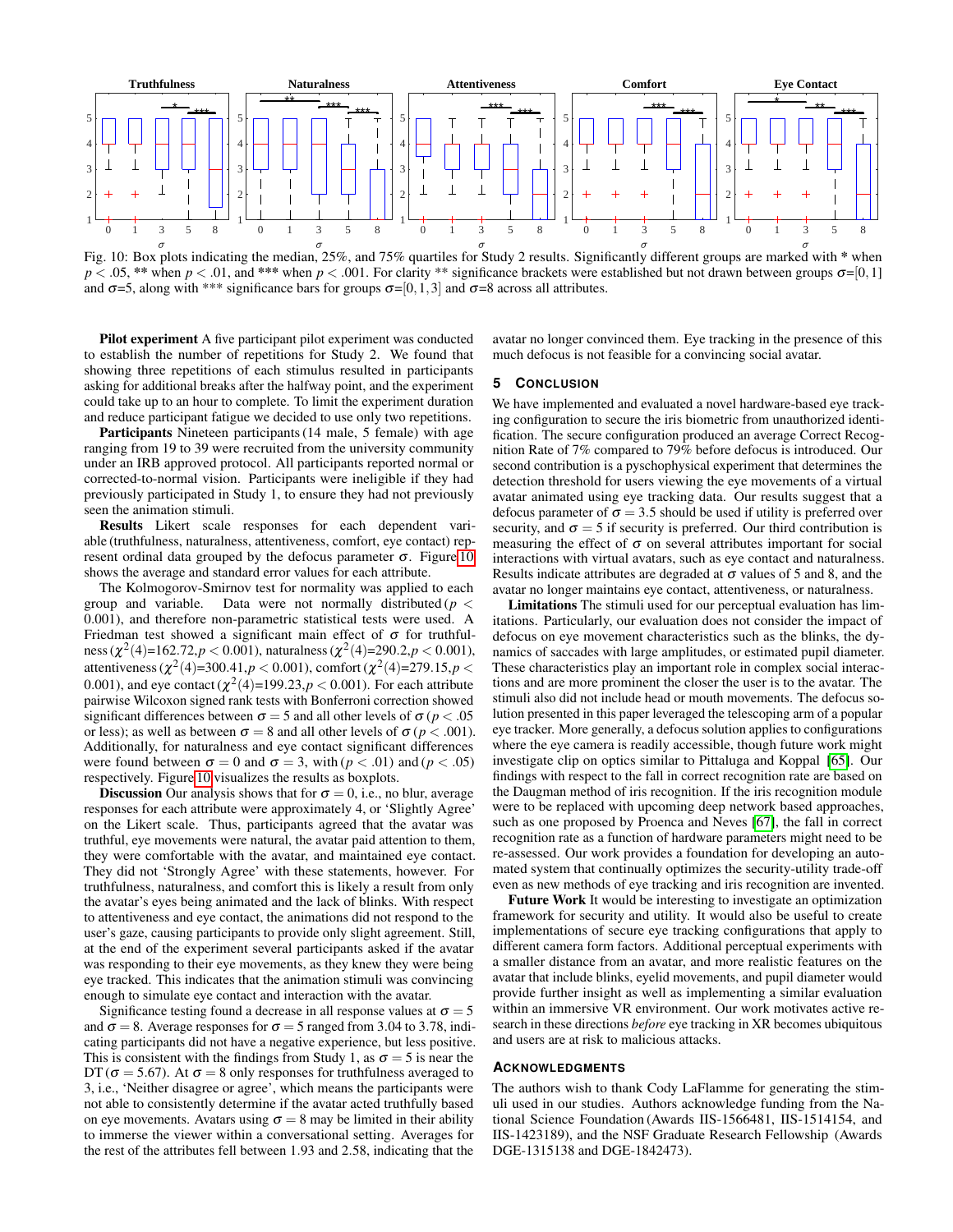<span id="page-8-0"></span>

Fig. 10: Box plots indicating the median, 25%, and 75% quartiles for Study 2 results. Significantly different groups are marked with \* when  $p < .05$ , \*\* when  $p < .01$ , and \*\*\* when  $p < .001$ . For clarity \*\* significance brackets were established but not drawn between groups  $\sigma = [0,1]$ and  $\sigma$ =5, along with \*\*\* significance bars for groups  $\sigma$ =[0,1,3] and  $\sigma$ =8 across all attributes.

Pilot experiment A five participant pilot experiment was conducted to establish the number of repetitions for Study 2. We found that showing three repetitions of each stimulus resulted in participants asking for additional breaks after the halfway point, and the experiment could take up to an hour to complete. To limit the experiment duration and reduce participant fatigue we decided to use only two repetitions.

Participants Nineteen participants (14 male, 5 female) with age ranging from 19 to 39 were recruited from the university community under an IRB approved protocol. All participants reported normal or corrected-to-normal vision. Participants were ineligible if they had previously participated in Study 1, to ensure they had not previously seen the animation stimuli.

Results Likert scale responses for each dependent variable (truthfulness, naturalness, attentiveness, comfort, eye contact) represent ordinal data grouped by the defocus parameter  $\sigma$ . Figure [10](#page-8-0) shows the average and standard error values for each attribute.

The Kolmogorov-Smirnov test for normality was applied to each group and variable. Data were not normally distributed (*p* < 0.001), and therefore non-parametric statistical tests were used. A Friedman test showed a significant main effect of  $\sigma$  for truthfulness ( $\chi^2(4)$ =162.72,*p* < 0.001), naturalness ( $\chi^2(4)$ =290.2,*p* < 0.001), attentiveness ( $\chi^2(4)$ =300.41, $p < 0.001$ ), comfort ( $\chi^2(4)$ =279.15, $p <$ 0.001), and eye contact  $(\chi^2(4)=199.23, p < 0.001)$ . For each attribute pairwise Wilcoxon signed rank tests with Bonferroni correction showed significant differences between  $\sigma = 5$  and all other levels of  $\sigma (p < .05)$ or less); as well as between  $\sigma = 8$  and all other levels of  $\sigma (p < .001)$ . Additionally, for naturalness and eye contact significant differences were found between  $\sigma = 0$  and  $\sigma = 3$ , with ( $p < .01$ ) and ( $p < .05$ ) respectively. Figure [10](#page-8-0) visualizes the results as boxplots.

**Discussion** Our analysis shows that for  $\sigma = 0$ , i.e., no blur, average responses for each attribute were approximately 4, or 'Slightly Agree' on the Likert scale. Thus, participants agreed that the avatar was truthful, eye movements were natural, the avatar paid attention to them, they were comfortable with the avatar, and maintained eye contact. They did not 'Strongly Agree' with these statements, however. For truthfulness, naturalness, and comfort this is likely a result from only the avatar's eyes being animated and the lack of blinks. With respect to attentiveness and eye contact, the animations did not respond to the user's gaze, causing participants to provide only slight agreement. Still, at the end of the experiment several participants asked if the avatar was responding to their eye movements, as they knew they were being eye tracked. This indicates that the animation stimuli was convincing enough to simulate eye contact and interaction with the avatar.

Significance testing found a decrease in all response values at  $\sigma = 5$ and  $\sigma = 8$ . Average responses for  $\sigma = 5$  ranged from 3.04 to 3.78, indicating participants did not have a negative experience, but less positive. This is consistent with the findings from Study 1, as  $\sigma = 5$  is near the DT ( $\sigma$  = 5.67). At  $\sigma$  = 8 only responses for truthfulness averaged to 3, i.e., 'Neither disagree or agree', which means the participants were not able to consistently determine if the avatar acted truthfully based on eye movements. Avatars using  $\sigma = 8$  may be limited in their ability to immerse the viewer within a conversational setting. Averages for the rest of the attributes fell between 1.93 and 2.58, indicating that the

avatar no longer convinced them. Eye tracking in the presence of this much defocus is not feasible for a convincing social avatar.

# **5 CONCLUSION**

We have implemented and evaluated a novel hardware-based eye tracking configuration to secure the iris biometric from unauthorized identification. The secure configuration produced an average Correct Recognition Rate of 7% compared to 79% before defocus is introduced. Our second contribution is a pyschophysical experiment that determines the detection threshold for users viewing the eye movements of a virtual avatar animated using eye tracking data. Our results suggest that a defocus parameter of  $\sigma = 3.5$  should be used if utility is preferred over security, and  $\sigma = 5$  if security is preferred. Our third contribution is measuring the effect of  $\sigma$  on several attributes important for social interactions with virtual avatars, such as eye contact and naturalness. Results indicate attributes are degraded at  $\sigma$  values of 5 and 8, and the avatar no longer maintains eye contact, attentiveness, or naturalness.

Limitations The stimuli used for our perceptual evaluation has limitations. Particularly, our evaluation does not consider the impact of defocus on eye movement characteristics such as the blinks, the dynamics of saccades with large amplitudes, or estimated pupil diameter. These characteristics play an important role in complex social interactions and are more prominent the closer the user is to the avatar. The stimuli also did not include head or mouth movements. The defocus solution presented in this paper leveraged the telescoping arm of a popular eye tracker. More generally, a defocus solution applies to configurations where the eye camera is readily accessible, though future work might investigate clip on optics similar to Pittaluga and Koppal [\[65\]](#page-10-30). Our findings with respect to the fall in correct recognition rate are based on the Daugman method of iris recognition. If the iris recognition module were to be replaced with upcoming deep network based approaches, such as one proposed by Proenca and Neves [\[67\]](#page-10-40), the fall in correct recognition rate as a function of hardware parameters might need to be re-assessed. Our work provides a foundation for developing an automated system that continually optimizes the security-utility trade-off even as new methods of eye tracking and iris recognition are invented.

Future Work It would be interesting to investigate an optimization framework for security and utility. It would also be useful to create implementations of secure eye tracking configurations that apply to different camera form factors. Additional perceptual experiments with a smaller distance from an avatar, and more realistic features on the avatar that include blinks, eyelid movements, and pupil diameter would provide further insight as well as implementing a similar evaluation within an immersive VR environment. Our work motivates active research in these directions *before* eye tracking in XR becomes ubiquitous and users are at risk to malicious attacks.

#### **ACKNOWLEDGMENTS**

The authors wish to thank Cody LaFlamme for generating the stimuli used in our studies. Authors acknowledge funding from the National Science Foundation (Awards IIS-1566481, IIS-1514154, and IIS-1423189), and the NSF Graduate Research Fellowship (Awards DGE-1315138 and DGE-1842473).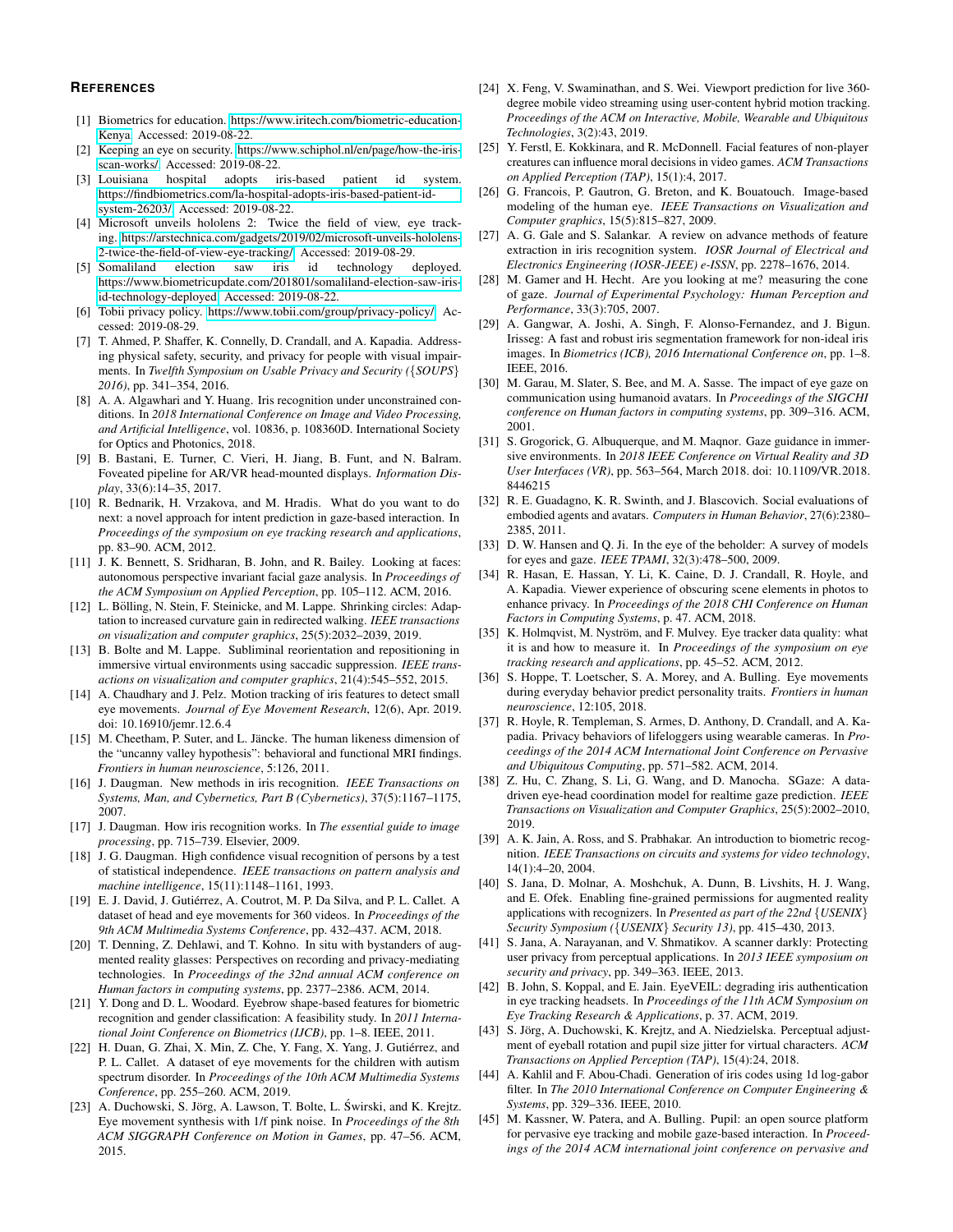#### **REFERENCES**

- <span id="page-9-27"></span>[1] Biometrics for education. [https://www.iritech.com/biometric-education-](https://www.iritech.com/biometric-education-Kenya)[Kenya.](https://www.iritech.com/biometric-education-Kenya) Accessed: 2019-08-22.
- <span id="page-9-2"></span>[2] Keeping an eye on security. [https://www.schiphol.nl/en/page/how-the-iris](https://www.schiphol.nl/en/page/how-the-iris-scan-works/)[scan-works/.](https://www.schiphol.nl/en/page/how-the-iris-scan-works/) Accessed: 2019-08-22.
- <span id="page-9-28"></span>[3] Louisiana hospital adopts iris-based patient id system. [https://findbiometrics.com/la-hospital-adopts-iris-based-patient-id](https://findbiometrics.com/la-hospital-adopts-iris-based-patient-id-system-26203/)[system-26203/.](https://findbiometrics.com/la-hospital-adopts-iris-based-patient-id-system-26203/) Accessed: 2019-08-22.
- <span id="page-9-3"></span>[4] Microsoft unveils hololens 2: Twice the field of view, eye tracking. [https://arstechnica.com/gadgets/2019/02/microsoft-unveils-hololens-](https://arstechnica.com/gadgets/2019/02/microsoft-unveils-hololens-2-twice-the-field-of-view-eye-tracking/)[2-twice-the-field-of-view-eye-tracking/.](https://arstechnica.com/gadgets/2019/02/microsoft-unveils-hololens-2-twice-the-field-of-view-eye-tracking/) Accessed: 2019-08-29.
- <span id="page-9-26"></span>[5] Somaliland election saw iris id technology deployed. [https://www.biometricupdate.com/201801/somaliland-election-saw-iris](https://www.biometricupdate.com/201801/somaliland-election-saw-iris-id-technology-deployed)[id-technology-deployed.](https://www.biometricupdate.com/201801/somaliland-election-saw-iris-id-technology-deployed) Accessed: 2019-08-22.
- <span id="page-9-33"></span>[6] Tobii privacy policy. [https://www.tobii.com/group/privacy-policy/.](https://www.tobii.com/group/privacy-policy/) Accessed: 2019-08-29.
- <span id="page-9-18"></span>[7] T. Ahmed, P. Shaffer, K. Connelly, D. Crandall, and A. Kapadia. Addressing physical safety, security, and privacy for people with visual impairments. In *Twelfth Symposium on Usable Privacy and Security (*{*SOUPS*} *2016)*, pp. 341–354, 2016.
- <span id="page-9-24"></span>[8] A. A. Algawhari and Y. Huang. Iris recognition under unconstrained conditions. In *2018 International Conference on Image and Video Processing, and Artificial Intelligence*, vol. 10836, p. 108360D. International Society for Optics and Photonics, 2018.
- <span id="page-9-0"></span>[9] B. Bastani, E. Turner, C. Vieri, H. Jiang, B. Funt, and N. Balram. Foveated pipeline for AR/VR head-mounted displays. *Information Display*, 33(6):14–35, 2017.
- <span id="page-9-6"></span>[10] R. Bednarik, H. Vrzakova, and M. Hradis. What do you want to do next: a novel approach for intent prediction in gaze-based interaction. In *Proceedings of the symposium on eye tracking research and applications*, pp. 83–90. ACM, 2012.
- <span id="page-9-41"></span>[11] J. K. Bennett, S. Sridharan, B. John, and R. Bailey. Looking at faces: autonomous perspective invariant facial gaze analysis. In *Proceedings of the ACM Symposium on Applied Perception*, pp. 105–112. ACM, 2016.
- <span id="page-9-43"></span>[12] L. Bölling, N. Stein, F. Steinicke, and M. Lappe. Shrinking circles: Adaptation to increased curvature gain in redirected walking. *IEEE transactions on visualization and computer graphics*, 25(5):2032–2039, 2019.
- <span id="page-9-9"></span>[13] B. Bolte and M. Lappe. Subliminal reorientation and repositioning in immersive virtual environments using saccadic suppression. *IEEE transactions on visualization and computer graphics*, 21(4):545–552, 2015.
- <span id="page-9-34"></span>[14] A. Chaudhary and J. Pelz. Motion tracking of iris features to detect small eye movements. *Journal of Eye Movement Research*, 12(6), Apr. 2019. doi: 10.16910/jemr.12.6.4
- <span id="page-9-42"></span>[15] M. Cheetham, P. Suter, and L. Jäncke. The human likeness dimension of the "uncanny valley hypothesis": behavioral and functional MRI findings. *Frontiers in human neuroscience*, 5:126, 2011.
- <span id="page-9-22"></span>[16] J. Daugman. New methods in iris recognition. *IEEE Transactions on Systems, Man, and Cybernetics, Part B (Cybernetics)*, 37(5):1167–1175, 2007.
- <span id="page-9-23"></span>[17] J. Daugman. How iris recognition works. In *The essential guide to image processing*, pp. 715–739. Elsevier, 2009.
- <span id="page-9-25"></span>[18] J. G. Daugman. High confidence visual recognition of persons by a test of statistical independence. *IEEE transactions on pattern analysis and machine intelligence*, 15(11):1148–1161, 1993.
- <span id="page-9-14"></span>[19] E. J. David, J. Gutiérrez, A. Coutrot, M. P. Da Silva, and P. L. Callet. A dataset of head and eye movements for 360 videos. In *Proceedings of the 9th ACM Multimedia Systems Conference*, pp. 432–437. ACM, 2018.
- <span id="page-9-17"></span>[20] T. Denning, Z. Dehlawi, and T. Kohno. In situ with bystanders of augmented reality glasses: Perspectives on recording and privacy-mediating technologies. In *Proceedings of the 32nd annual ACM conference on Human factors in computing systems*, pp. 2377–2386. ACM, 2014.
- <span id="page-9-10"></span>[21] Y. Dong and D. L. Woodard. Eyebrow shape-based features for biometric recognition and gender classification: A feasibility study. In *2011 International Joint Conference on Biometrics (IJCB)*, pp. 1–8. IEEE, 2011.
- <span id="page-9-15"></span>[22] H. Duan, G. Zhai, X. Min, Z. Che, Y. Fang, X. Yang, J. Gutiérrez, and P. L. Callet. A dataset of eye movements for the children with autism spectrum disorder. In *Proceedings of the 10th ACM Multimedia Systems Conference*, pp. 255–260. ACM, 2019.
- <span id="page-9-11"></span>[23] A. Duchowski, S. Jörg, A. Lawson, T. Bolte, L. Świrski, and K. Krejtz. Eye movement synthesis with 1/f pink noise. In *Proceedings of the 8th ACM SIGGRAPH Conference on Motion in Games*, pp. 47–56. ACM, 2015.
- <span id="page-9-1"></span>[24] X. Feng, V. Swaminathan, and S. Wei. Viewport prediction for live 360degree mobile video streaming using user-content hybrid motion tracking. *Proceedings of the ACM on Interactive, Mobile, Wearable and Ubiquitous Technologies*, 3(2):43, 2019.
- <span id="page-9-39"></span>[25] Y. Ferstl, E. Kokkinara, and R. McDonnell. Facial features of non-player creatures can influence moral decisions in video games. *ACM Transactions on Applied Perception (TAP)*, 15(1):4, 2017.
- <span id="page-9-35"></span>[26] G. Francois, P. Gautron, G. Breton, and K. Bouatouch. Image-based modeling of the human eye. *IEEE Transactions on Visualization and Computer graphics*, 15(5):815–827, 2009.
- <span id="page-9-32"></span>[27] A. G. Gale and S. Salankar. A review on advance methods of feature extraction in iris recognition system. *IOSR Journal of Electrical and Electronics Engineering (IOSR-JEEE) e-ISSN*, pp. 2278–1676, 2014.
- <span id="page-9-40"></span>[28] M. Gamer and H. Hecht. Are you looking at me? measuring the cone of gaze. *Journal of Experimental Psychology: Human Perception and Performance*, 33(3):705, 2007.
- <span id="page-9-37"></span>[29] A. Gangwar, A. Joshi, A. Singh, F. Alonso-Fernandez, and J. Bigun. Irisseg: A fast and robust iris segmentation framework for non-ideal iris images. In *Biometrics (ICB), 2016 International Conference on*, pp. 1–8. IEEE, 2016.
- <span id="page-9-13"></span>[30] M. Garau, M. Slater, S. Bee, and M. A. Sasse. The impact of eye gaze on communication using humanoid avatars. In *Proceedings of the SIGCHI conference on Human factors in computing systems*, pp. 309–316. ACM, 2001.
- <span id="page-9-7"></span>[31] S. Grogorick, G. Albuquerque, and M. Maqnor. Gaze guidance in immersive environments. In *2018 IEEE Conference on Virtual Reality and 3D User Interfaces (VR)*, pp. 563–564, March 2018. doi: 10.1109/VR.2018. 8446215
- <span id="page-9-44"></span>[32] R. E. Guadagno, K. R. Swinth, and J. Blascovich. Social evaluations of embodied agents and avatars. *Computers in Human Behavior*, 27(6):2380– 2385, 2011.
- <span id="page-9-36"></span>[33] D. W. Hansen and Q. Ji. In the eye of the beholder: A survey of models for eyes and gaze. *IEEE TPAMI*, 32(3):478–500, 2009.
- <span id="page-9-31"></span>[34] R. Hasan, E. Hassan, Y. Li, K. Caine, D. J. Crandall, R. Hoyle, and A. Kapadia. Viewer experience of obscuring scene elements in photos to enhance privacy. In *Proceedings of the 2018 CHI Conference on Human Factors in Computing Systems*, p. 47. ACM, 2018.
- <span id="page-9-38"></span>[35] K. Holmqvist, M. Nyström, and F. Mulvey. Eye tracker data quality: what it is and how to measure it. In *Proceedings of the symposium on eye tracking research and applications*, pp. 45–52. ACM, 2012.
- <span id="page-9-16"></span>[36] S. Hoppe, T. Loetscher, S. A. Morey, and A. Bulling. Eye movements during everyday behavior predict personality traits. *Frontiers in human neuroscience*, 12:105, 2018.
- <span id="page-9-19"></span>[37] R. Hoyle, R. Templeman, S. Armes, D. Anthony, D. Crandall, and A. Kapadia. Privacy behaviors of lifeloggers using wearable cameras. In *Proceedings of the 2014 ACM International Joint Conference on Pervasive and Ubiquitous Computing*, pp. 571–582. ACM, 2014.
- <span id="page-9-5"></span>[38] Z. Hu, C. Zhang, S. Li, G. Wang, and D. Manocha. SGaze: A datadriven eye-head coordination model for realtime gaze prediction. *IEEE Transactions on Visualization and Computer Graphics*, 25(5):2002–2010, 2019.
- <span id="page-9-20"></span>[39] A. K. Jain, A. Ross, and S. Prabhakar. An introduction to biometric recognition. *IEEE Transactions on circuits and systems for video technology*, 14(1):4–20, 2004.
- <span id="page-9-29"></span>[40] S. Jana, D. Molnar, A. Moshchuk, A. Dunn, B. Livshits, H. J. Wang, and E. Ofek. Enabling fine-grained permissions for augmented reality applications with recognizers. In *Presented as part of the 22nd* {*USENIX*} *Security Symposium (*{*USENIX*} *Security 13)*, pp. 415–430, 2013.
- <span id="page-9-30"></span>[41] S. Jana, A. Narayanan, and V. Shmatikov. A scanner darkly: Protecting user privacy from perceptual applications. In *2013 IEEE symposium on security and privacy*, pp. 349–363. IEEE, 2013.
- <span id="page-9-4"></span>[42] B. John, S. Koppal, and E. Jain. EyeVEIL: degrading iris authentication in eye tracking headsets. In *Proceedings of the 11th ACM Symposium on Eye Tracking Research & Applications*, p. 37. ACM, 2019.
- <span id="page-9-12"></span>[43] S. Jörg, A. Duchowski, K. Krejtz, and A. Niedzielska. Perceptual adjustment of eyeball rotation and pupil size jitter for virtual characters. *ACM Transactions on Applied Perception (TAP)*, 15(4):24, 2018.
- <span id="page-9-21"></span>[44] A. Kahlil and F. Abou-Chadi. Generation of iris codes using 1d log-gabor filter. In *The 2010 International Conference on Computer Engineering & Systems*, pp. 329–336. IEEE, 2010.
- <span id="page-9-8"></span>[45] M. Kassner, W. Patera, and A. Bulling. Pupil: an open source platform for pervasive eye tracking and mobile gaze-based interaction. In *Proceedings of the 2014 ACM international joint conference on pervasive and*